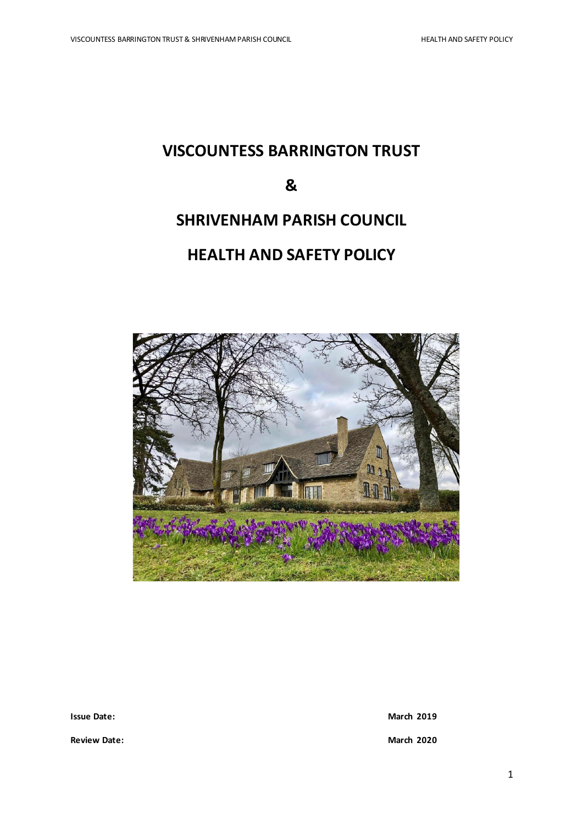# **VISCOUNTESS BARRINGTON TRUST**

# **&**

# **SHRIVENHAM PARISH COUNCIL**

# **HEALTH AND SAFETY POLICY**



**Issue Date:** March<sub>2019</sub>

**Review Date: March 2020**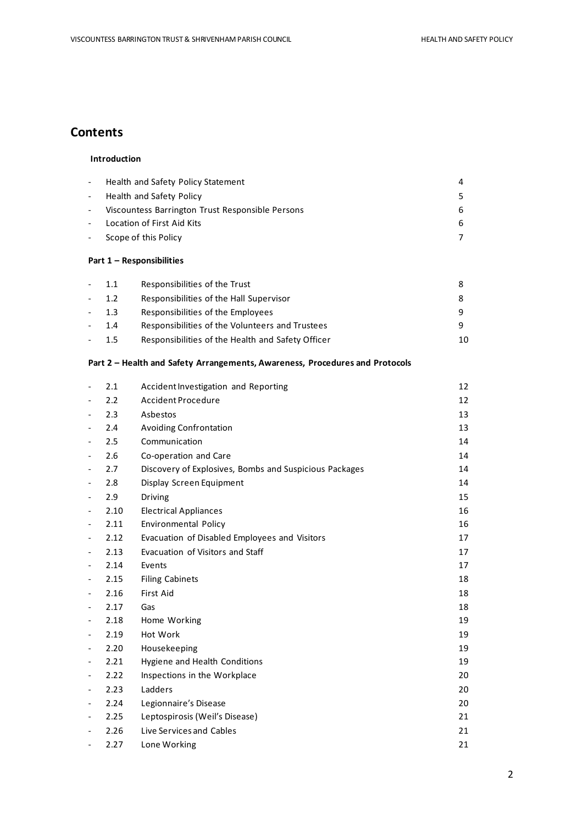## **Contents**

### **Introduction**

|        | Health and Safety Policy Statement               | 4  |
|--------|--------------------------------------------------|----|
| $\sim$ | Health and Safety Policy                         |    |
|        | Viscountess Barrington Trust Responsible Persons | 6. |
|        | Location of First Aid Kits                       | 6. |
|        | Scope of this Policy                             |    |
|        |                                                  |    |

### **Part 1 – Responsibilities**

| 1.1    | Responsibilities of the Trust                     |    |
|--------|---------------------------------------------------|----|
| $-1.2$ | Responsibilities of the Hall Supervisor           |    |
| $-1.3$ | Responsibilities of the Employees                 |    |
| 1.4    | Responsibilities of the Volunteers and Trustees   |    |
| 1.5    | Responsibilities of the Health and Safety Officer | 10 |

### **Part 2 – Health and Safety Arrangements, Awareness, Procedures and Protocols**

| 2.1  | Accident Investigation and Reporting                   | 12 |
|------|--------------------------------------------------------|----|
| 2.2  | Accident Procedure                                     | 12 |
| 2.3  | Asbestos                                               | 13 |
| 2.4  | <b>Avoiding Confrontation</b>                          | 13 |
| 2.5  | Communication                                          | 14 |
| 2.6  | Co-operation and Care                                  | 14 |
| 2.7  | Discovery of Explosives, Bombs and Suspicious Packages | 14 |
| 2.8  | Display Screen Equipment                               | 14 |
| 2.9  | Driving                                                | 15 |
| 2.10 | <b>Electrical Appliances</b>                           | 16 |
| 2.11 | Environmental Policy                                   | 16 |
| 2.12 | Evacuation of Disabled Employees and Visitors          | 17 |
| 2.13 | Evacuation of Visitors and Staff                       | 17 |
| 2.14 | Events                                                 | 17 |
| 2.15 | <b>Filing Cabinets</b>                                 | 18 |
| 2.16 | <b>First Aid</b>                                       | 18 |
| 2.17 | Gas                                                    | 18 |
| 2.18 | Home Working                                           | 19 |
| 2.19 | Hot Work                                               | 19 |
| 2.20 | Housekeeping                                           | 19 |
| 2.21 | Hygiene and Health Conditions                          | 19 |
| 2.22 | Inspections in the Workplace                           | 20 |
| 2.23 | Ladders                                                | 20 |
| 2.24 | Legionnaire's Disease                                  | 20 |
| 2.25 | Leptospirosis (Weil's Disease)                         | 21 |
| 2.26 | Live Services and Cables                               | 21 |
| 2.27 | Lone Working                                           | 21 |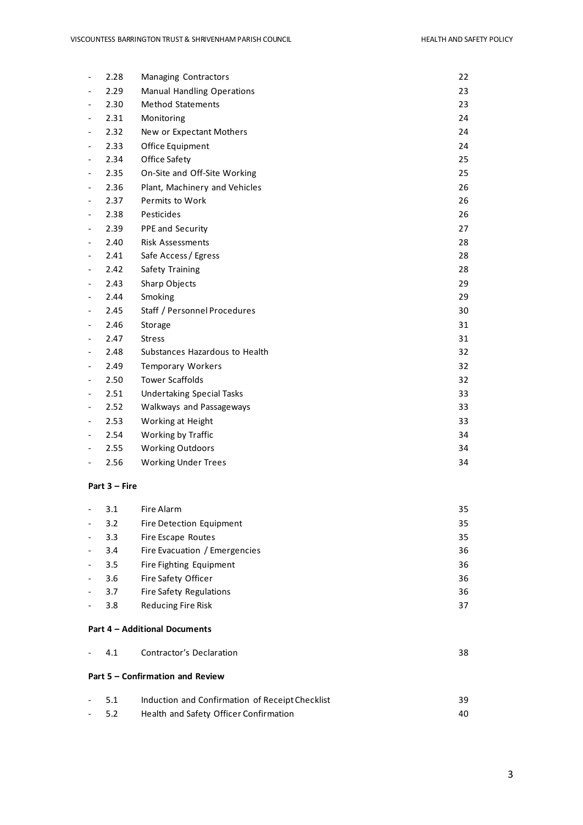| 2.28 | <b>Managing Contractors</b>       | 22 |
|------|-----------------------------------|----|
| 2.29 | <b>Manual Handling Operations</b> | 23 |
| 2.30 | <b>Method Statements</b>          | 23 |
| 2.31 | Monitoring                        | 24 |
| 2.32 | New or Expectant Mothers          | 24 |
| 2.33 | Office Equipment                  | 24 |
| 2.34 | <b>Office Safety</b>              | 25 |
| 2.35 | On-Site and Off-Site Working      | 25 |
| 2.36 | Plant, Machinery and Vehicles     | 26 |
| 2.37 | Permits to Work                   | 26 |
| 2.38 | Pesticides                        | 26 |
| 2.39 | PPE and Security                  | 27 |
| 2.40 | <b>Risk Assessments</b>           | 28 |
| 2.41 | Safe Access / Egress              | 28 |
| 2.42 | Safety Training                   | 28 |
| 2.43 | Sharp Objects                     | 29 |
| 2.44 | Smoking                           | 29 |
| 2.45 | Staff / Personnel Procedures      | 30 |
| 2.46 | Storage                           | 31 |
| 2.47 | <b>Stress</b>                     | 31 |
| 2.48 | Substances Hazardous to Health    | 32 |
| 2.49 | <b>Temporary Workers</b>          | 32 |
| 2.50 | <b>Tower Scaffolds</b>            | 32 |
| 2.51 | <b>Undertaking Special Tasks</b>  | 33 |
| 2.52 | Walkways and Passageways          | 33 |
| 2.53 | Working at Height                 | 33 |
| 2.54 | Working by Traffic                | 34 |
| 2.55 | <b>Working Outdoors</b>           | 34 |
| 2.56 | <b>Working Under Trees</b>        | 34 |

### **Part 3 – Fire**

|                              | 3.1 | Fire Alarm                     | 35 |
|------------------------------|-----|--------------------------------|----|
| $\overline{\phantom{a}}$     | 3.2 | Fire Detection Equipment       | 35 |
| $\frac{1}{2}$                | 3.3 | Fire Escape Routes             | 35 |
| $\frac{1}{2}$                | 3.4 | Fire Evacuation / Emergencies  | 36 |
| $\frac{1}{2}$                | 3.5 | Fire Fighting Equipment        | 36 |
| $\overline{\phantom{a}}$     | 3.6 | Fire Safety Officer            | 36 |
| $\qquad \qquad \blacksquare$ | 3.7 | <b>Fire Safety Regulations</b> | 36 |
|                              | 3.8 | Reducing Fire Risk             | 37 |
|                              |     |                                |    |

### **Part 4 – Additional Documents**

|       | - 4.1 Contractor's Declaration                  | 38 |
|-------|-------------------------------------------------|----|
|       | Part 5 – Confirmation and Review                |    |
| - 5.1 | Induction and Confirmation of Receipt Checklist | 39 |

| ---    |                                        | -- |
|--------|----------------------------------------|----|
| $-5.2$ | Health and Safety Officer Confirmation |    |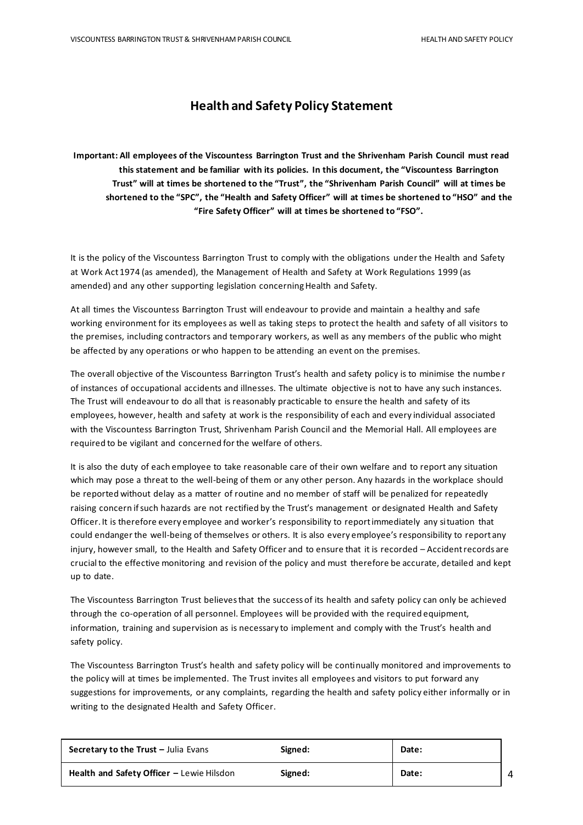## **Health and Safety Policy Statement**

**Important: All employees of the Viscountess Barrington Trust and the Shrivenham Parish Council must read this statement and be familiar with its policies. In this document, the "Viscountess Barrington Trust" will at times be shortened to the "Trust", the "Shrivenham Parish Council" will at times be shortened to the "SPC", the "Health and Safety Officer" will at times be shortened to "HSO" and the "Fire Safety Officer" will at times be shortened to "FSO".**

It is the policy of the Viscountess Barrington Trust to comply with the obligations under the Health and Safety at Work Act 1974 (as amended), the Management of Health and Safety at Work Regulations 1999 (as amended) and any other supporting legislation concerning Health and Safety.

At all times the Viscountess Barrington Trust will endeavour to provide and maintain a healthy and safe working environment for its employees as well as taking steps to protect the health and safety of all visitors to the premises, including contractors and temporary workers, as well as any members of the public who might be affected by any operations or who happen to be attending an event on the premises.

The overall objective of the Viscountess Barrington Trust's health and safety policy is to minimise the numbe r of instances of occupational accidents and illnesses. The ultimate objective is not to have any such instances. The Trust will endeavour to do all that is reasonably practicable to ensure the health and safety of its employees, however, health and safety at work is the responsibility of each and every individual associated with the Viscountess Barrington Trust, Shrivenham Parish Council and the Memorial Hall. All employees are required to be vigilant and concerned for the welfare of others.

It is also the duty of each employee to take reasonable care of their own welfare and to report any situation which may pose a threat to the well-being of them or any other person. Any hazards in the workplace should be reported without delay as a matter of routine and no member of staff will be penalized for repeatedly raising concern if such hazards are not rectified by the Trust's management or designated Health and Safety Officer. It is therefore every employee and worker's responsibility to report immediately any situation that could endanger the well-being of themselves or others. It is also every employee's responsibility to report any injury, however small, to the Health and Safety Officer and to ensure that it is recorded – Accident records are crucial to the effective monitoring and revision of the policy and must therefore be accurate, detailed and kept up to date.

The Viscountess Barrington Trust believes that the success of its health and safety policy can only be achieved through the co-operation of all personnel. Employees will be provided with the required equipment, information, training and supervision as is necessary to implement and comply with the Trust's health and safety policy.

The Viscountess Barrington Trust's health and safety policy will be continually monitored and improvements to the policy will at times be implemented. The Trust invites all employees and visitors to put forward any suggestions for improvements, or any complaints, regarding the health and safety policy either informally or in writing to the designated Health and Safety Officer.

| <b>Secretary to the Trust - Julia Evans</b> | Signed: | Date: |  |
|---------------------------------------------|---------|-------|--|
| Health and Safety Officer - Lewie Hilsdon   | Signed: | Date: |  |

4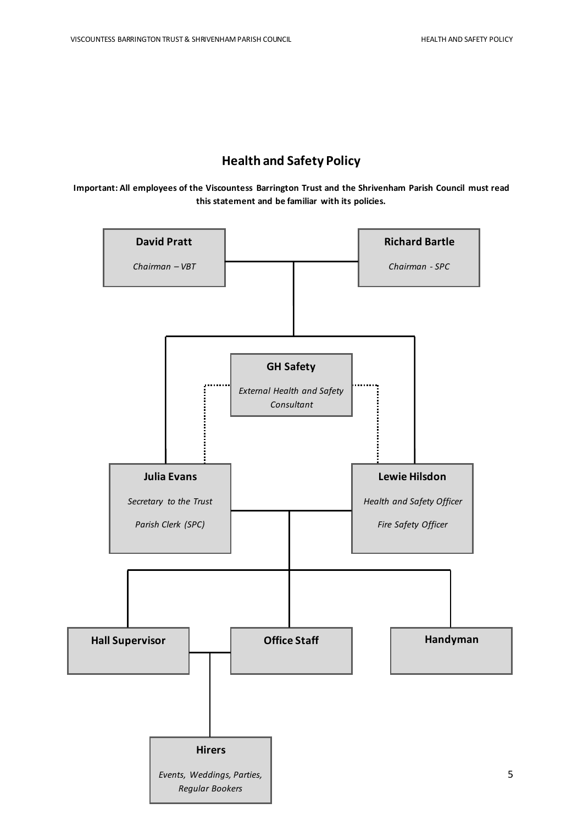# **Health and Safety Policy**

**Important: All employees of the Viscountess Barrington Trust and the Shrivenham Parish Council must read this statement and be familiar with its policies.**

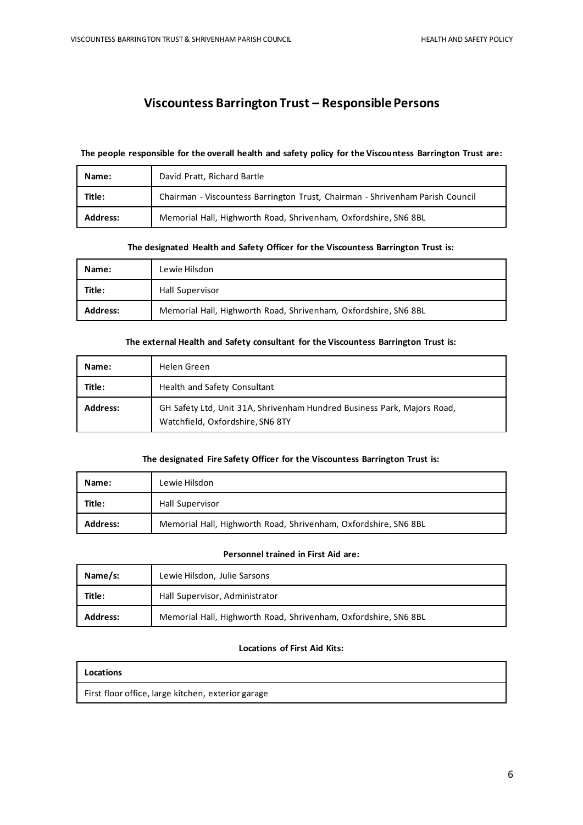# **Viscountess Barrington Trust – Responsible Persons**

#### **The people responsible for the overall health and safety policy for the Viscountess Barrington Trust are:**

| Name:           | David Pratt, Richard Bartle                                                   |
|-----------------|-------------------------------------------------------------------------------|
| Title:          | Chairman - Viscountess Barrington Trust, Chairman - Shrivenham Parish Council |
| <b>Address:</b> | Memorial Hall, Highworth Road, Shrivenham, Oxfordshire, SN6 8BL               |

#### **The designated Health and Safety Officer for the Viscountess Barrington Trust is:**

| Name:           | Lewie Hilsdon                                                   |
|-----------------|-----------------------------------------------------------------|
| Title:          | Hall Supervisor                                                 |
| <b>Address:</b> | Memorial Hall, Highworth Road, Shrivenham, Oxfordshire, SN6 8BL |

#### **The external Health and Safety consultant for the Viscountess Barrington Trust is:**

| Name:           | Helen Green                                                                                                 |
|-----------------|-------------------------------------------------------------------------------------------------------------|
| Title:          | Health and Safety Consultant                                                                                |
| <b>Address:</b> | GH Safety Ltd, Unit 31A, Shrivenham Hundred Business Park, Majors Road,<br>Watchfield, Oxfordshire, SN6 8TY |

### **The designated Fire Safety Officer for the Viscountess Barrington Trust is:**

| Name:           | Lewie Hilsdon                                                   |
|-----------------|-----------------------------------------------------------------|
| Title:          | Hall Supervisor                                                 |
| <b>Address:</b> | Memorial Hall, Highworth Road, Shrivenham, Oxfordshire, SN6 8BL |

### **Personnel trained in First Aid are:**

| Name/s:         | Lewie Hilsdon, Julie Sarsons                                    |  |
|-----------------|-----------------------------------------------------------------|--|
| Title:          | Hall Supervisor, Administrator                                  |  |
| <b>Address:</b> | Memorial Hall, Highworth Road, Shrivenham, Oxfordshire, SN6 8BL |  |

### **Locations of First Aid Kits:**

| Locations                                          |  |
|----------------------------------------------------|--|
| First floor office, large kitchen, exterior garage |  |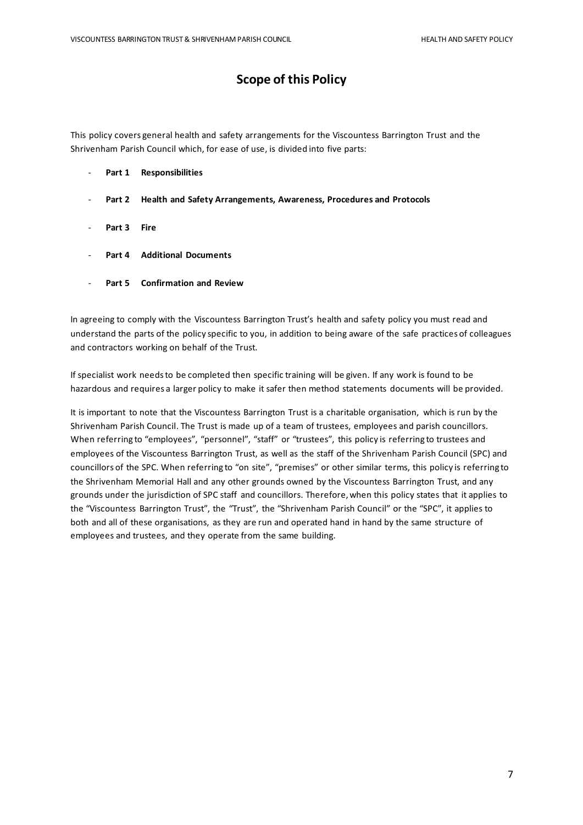# **Scope of this Policy**

This policy covers general health and safety arrangements for the Viscountess Barrington Trust and the Shrivenham Parish Council which, for ease of use, is divided into five parts:

- **Part 1 Responsibilities**
- **Part 2 Health and Safety Arrangements, Awareness, Procedures and Protocols**
- **Part 3 Fire**
- **Part 4 Additional Documents**
- **Part 5 Confirmation and Review**

In agreeing to comply with the Viscountess Barrington Trust's health and safety policy you must read and understand the parts of the policy specific to you, in addition to being aware of the safe practices of colleagues and contractors working on behalf of the Trust.

If specialist work needs to be completed then specific training will be given. If any work is found to be hazardous and requires a larger policy to make it safer then method statements documents will be provided.

It is important to note that the Viscountess Barrington Trust is a charitable organisation, which is run by the Shrivenham Parish Council. The Trust is made up of a team of trustees, employees and parish councillors. When referring to "employees", "personnel", "staff" or "trustees", this policy is referring to trustees and employees of the Viscountess Barrington Trust, as well as the staff of the Shrivenham Parish Council (SPC) and councillors of the SPC. When referring to "on site", "premises" or other similar terms, this policy is referring to the Shrivenham Memorial Hall and any other grounds owned by the Viscountess Barrington Trust, and any grounds under the jurisdiction of SPC staff and councillors. Therefore, when this policy states that it applies to the "Viscountess Barrington Trust", the "Trust", the "Shrivenham Parish Council" or the "SPC", it applies to both and all of these organisations, as they are run and operated hand in hand by the same structure of employees and trustees, and they operate from the same building.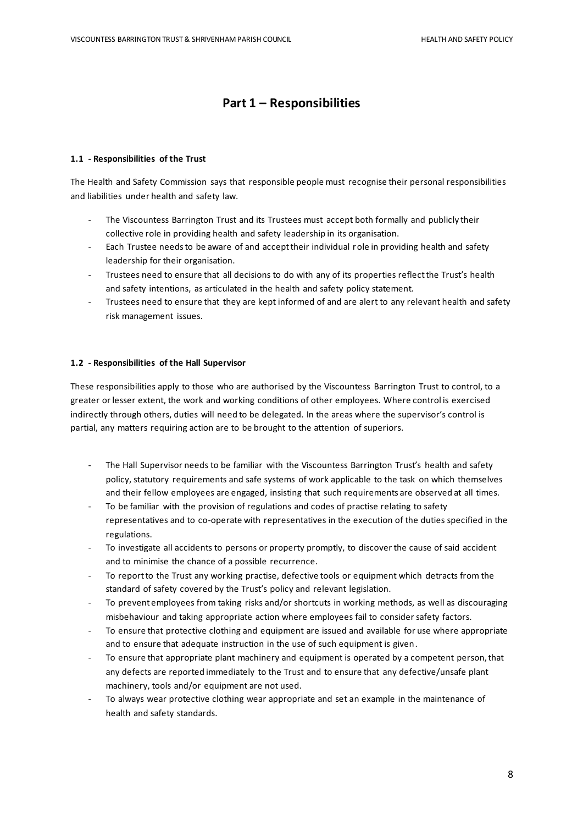# **Part 1 – Responsibilities**

#### **1.1 - Responsibilities of the Trust**

The Health and Safety Commission says that responsible people must recognise their personal responsibilities and liabilities under health and safety law.

- The Viscountess Barrington Trust and its Trustees must accept both formally and publicly their collective role in providing health and safety leadership in its organisation.
- Each Trustee needs to be aware of and accept their individual role in providing health and safety leadership for their organisation.
- Trustees need to ensure that all decisions to do with any of its properties reflect the Trust's health and safety intentions, as articulated in the health and safety policy statement.
- Trustees need to ensure that they are kept informed of and are alert to any relevant health and safety risk management issues.

#### **1.2 - Responsibilities of the Hall Supervisor**

These responsibilities apply to those who are authorised by the Viscountess Barrington Trust to control, to a greater or lesser extent, the work and working conditions of other employees. Where control is exercised indirectly through others, duties will need to be delegated. In the areas where the supervisor's control is partial, any matters requiring action are to be brought to the attention of superiors.

- The Hall Supervisor needs to be familiar with the Viscountess Barrington Trust's health and safety policy, statutory requirements and safe systems of work applicable to the task on which themselves and their fellow employees are engaged, insisting that such requirements are observed at all times.
- To be familiar with the provision of regulations and codes of practise relating to safety representatives and to co-operate with representatives in the execution of the duties specified in the regulations.
- To investigate all accidents to persons or property promptly, to discover the cause of said accident and to minimise the chance of a possible recurrence.
- To report to the Trust any working practise, defective tools or equipment which detracts from the standard of safety covered by the Trust's policy and relevant legislation.
- To prevent employees from taking risks and/or shortcuts in working methods, as well as discouraging misbehaviour and taking appropriate action where employees fail to consider safety factors.
- To ensure that protective clothing and equipment are issued and available for use where appropriate and to ensure that adequate instruction in the use of such equipment is given.
- To ensure that appropriate plant machinery and equipment is operated by a competent person, that any defects are reported immediately to the Trust and to ensure that any defective/unsafe plant machinery, tools and/or equipment are not used.
- To always wear protective clothing wear appropriate and set an example in the maintenance of health and safety standards.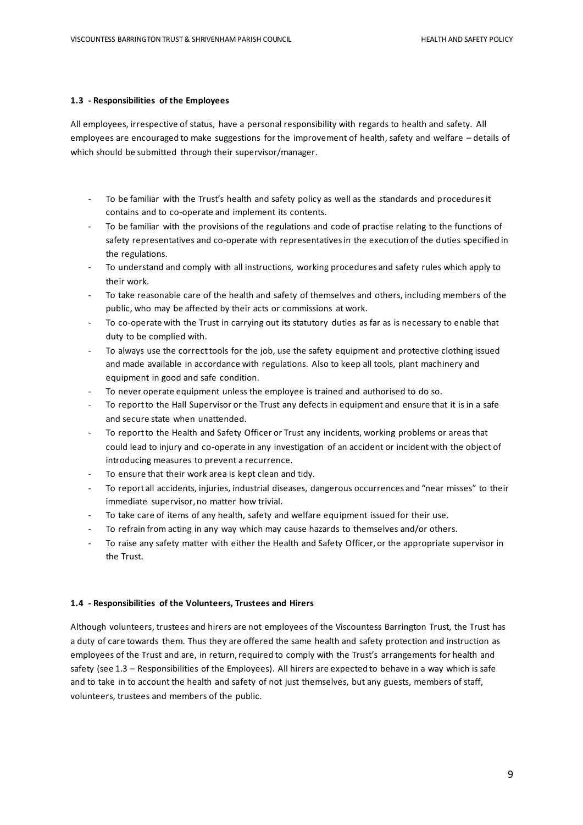#### **1.3 - Responsibilities of the Employees**

All employees, irrespective of status, have a personal responsibility with regards to health and safety. All employees are encouraged to make suggestions for the improvement of health, safety and welfare – details of which should be submitted through their supervisor/manager.

- To be familiar with the Trust's health and safety policy as well as the standards and procedures it contains and to co-operate and implement its contents.
- To be familiar with the provisions of the regulations and code of practise relating to the functions of safety representatives and co-operate with representatives in the execution of the duties specified in the regulations.
- To understand and comply with all instructions, working procedures and safety rules which apply to their work.
- To take reasonable care of the health and safety of themselves and others, including members of the public, who may be affected by their acts or commissions at work.
- To co-operate with the Trust in carrying out its statutory duties as far as is necessary to enable that duty to be complied with.
- To always use the correct tools for the job, use the safety equipment and protective clothing issued and made available in accordance with regulations. Also to keep all tools, plant machinery and equipment in good and safe condition.
- To never operate equipment unless the employee is trained and authorised to do so.
- To report to the Hall Supervisor or the Trust any defects in equipment and ensure that it is in a safe and secure state when unattended.
- To report to the Health and Safety Officer or Trust any incidents, working problems or areas that could lead to injury and co-operate in any investigation of an accident or incident with the object of introducing measures to prevent a recurrence.
- To ensure that their work area is kept clean and tidy.
- To report all accidents, injuries, industrial diseases, dangerous occurrences and "near misses" to their immediate supervisor, no matter how trivial.
- To take care of items of any health, safety and welfare equipment issued for their use.
- To refrain from acting in any way which may cause hazards to themselves and/or others.
- To raise any safety matter with either the Health and Safety Officer, or the appropriate supervisor in the Trust.

#### **1.4 - Responsibilities of the Volunteers, Trustees and Hirers**

Although volunteers, trustees and hirers are not employees of the Viscountess Barrington Trust, the Trust has a duty of care towards them. Thus they are offered the same health and safety protection and instruction as employees of the Trust and are, in return, required to comply with the Trust's arrangements for health and safety (see 1.3 – Responsibilities of the Employees). All hirers are expected to behave in a way which is safe and to take in to account the health and safety of not just themselves, but any guests, members of staff, volunteers, trustees and members of the public.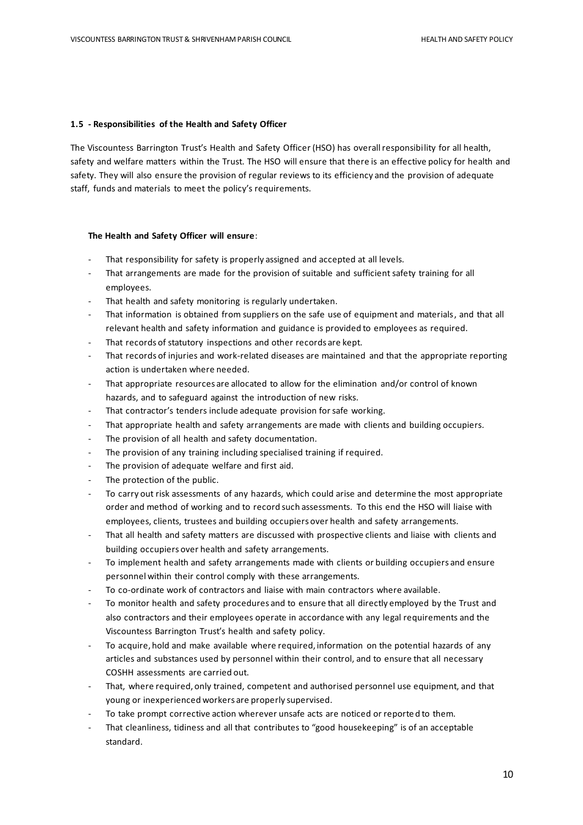#### **1.5 - Responsibilities of the Health and Safety Officer**

The Viscountess Barrington Trust's Health and Safety Officer (HSO) has overall responsibility for all health, safety and welfare matters within the Trust. The HSO will ensure that there is an effective policy for health and safety. They will also ensure the provision of regular reviews to its efficiency and the provision of adequate staff, funds and materials to meet the policy's requirements.

#### **The Health and Safety Officer will ensure**:

- That responsibility for safety is properly assigned and accepted at all levels.
- That arrangements are made for the provision of suitable and sufficient safety training for all employees.
- That health and safety monitoring is regularly undertaken.
- That information is obtained from suppliers on the safe use of equipment and materials, and that all relevant health and safety information and guidance is provided to employees as required.
- That records of statutory inspections and other records are kept.
- That records of injuries and work-related diseases are maintained and that the appropriate reporting action is undertaken where needed.
- That appropriate resources are allocated to allow for the elimination and/or control of known hazards, and to safeguard against the introduction of new risks.
- That contractor's tenders include adequate provision for safe working.
- That appropriate health and safety arrangements are made with clients and building occupiers.
- The provision of all health and safety documentation.
- The provision of any training including specialised training if required.
- The provision of adequate welfare and first aid.
- The protection of the public.
- To carry out risk assessments of any hazards, which could arise and determine the most appropriate order and method of working and to record such assessments. To this end the HSO will liaise with employees, clients, trustees and building occupiers over health and safety arrangements.
- That all health and safety matters are discussed with prospective clients and liaise with clients and building occupiers over health and safety arrangements.
- To implement health and safety arrangements made with clients or building occupiers and ensure personnel within their control comply with these arrangements.
- To co-ordinate work of contractors and liaise with main contractors where available.
- To monitor health and safety procedures and to ensure that all directly employed by the Trust and also contractors and their employees operate in accordance with any legal requirements and the Viscountess Barrington Trust's health and safety policy.
- To acquire, hold and make available where required, information on the potential hazards of any articles and substances used by personnel within their control, and to ensure that all necessary COSHH assessments are carried out.
- That, where required, only trained, competent and authorised personnel use equipment, and that young or inexperienced workers are properly supervised.
- To take prompt corrective action wherever unsafe acts are noticed or reported to them.
- That cleanliness, tidiness and all that contributes to "good housekeeping" is of an acceptable standard.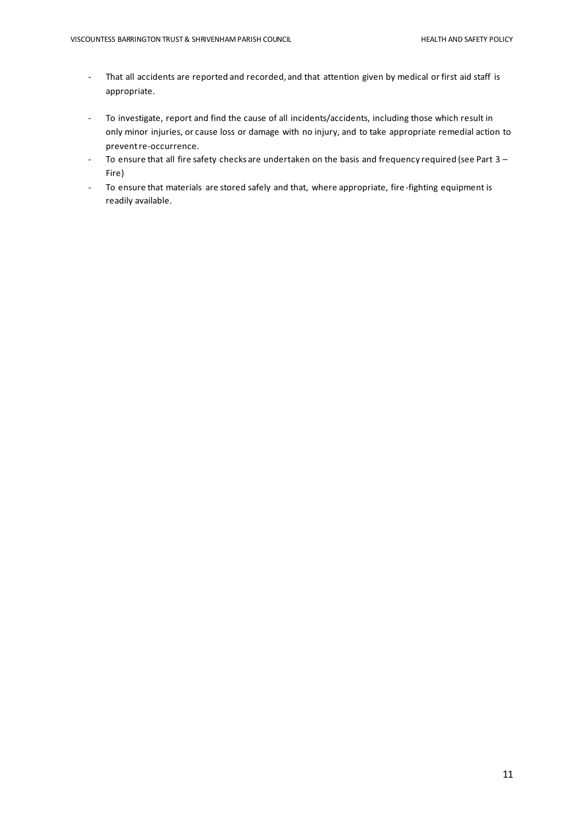- That all accidents are reported and recorded, and that attention given by medical or first aid staff is appropriate.
- To investigate, report and find the cause of all incidents/accidents, including those which result in only minor injuries, or cause loss or damage with no injury, and to take appropriate remedial action to prevent re-occurrence.
- To ensure that all fire safety checks are undertaken on the basis and frequency required (see Part 3 Fire)
- To ensure that materials are stored safely and that, where appropriate, fire-fighting equipment is readily available.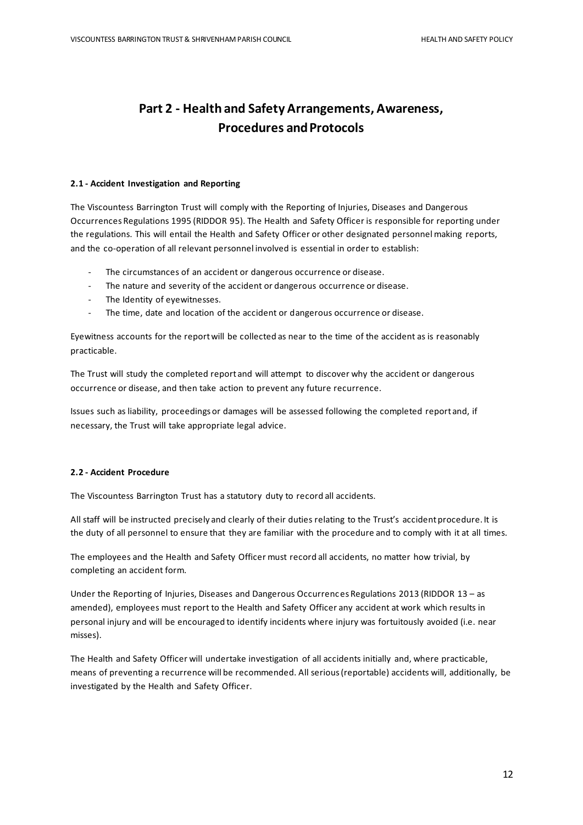# **Part 2 - Health and Safety Arrangements, Awareness, Procedures and Protocols**

#### **2.1 - Accident Investigation and Reporting**

The Viscountess Barrington Trust will comply with the Reporting of Injuries, Diseases and Dangerous Occurrences Regulations 1995 (RIDDOR 95). The Health and Safety Officer is responsible for reporting under the regulations. This will entail the Health and Safety Officer or other designated personnel making reports, and the co-operation of all relevant personnel involved is essential in order to establish:

- The circumstances of an accident or dangerous occurrence or disease.
- The nature and severity of the accident or dangerous occurrence or disease.
- The Identity of eyewitnesses.
- The time, date and location of the accident or dangerous occurrence or disease.

Eyewitness accounts for the report will be collected as near to the time of the accident as is reasonably practicable.

The Trust will study the completed report and will attempt to discover why the accident or dangerous occurrence or disease, and then take action to prevent any future recurrence.

Issues such as liability, proceedings or damages will be assessed following the completed report and, if necessary, the Trust will take appropriate legal advice.

#### **2.2 - Accident Procedure**

The Viscountess Barrington Trust has a statutory duty to record all accidents.

All staff will be instructed precisely and clearly of their duties relating to the Trust's accident procedure. It is the duty of all personnel to ensure that they are familiar with the procedure and to comply with it at all times.

The employees and the Health and Safety Officer must record all accidents, no matter how trivial, by completing an accident form.

Under the Reporting of Injuries, Diseases and Dangerous Occurrences Regulations 2013 (RIDDOR 13 – as amended), employees must report to the Health and Safety Officer any accident at work which results in personal injury and will be encouraged to identify incidents where injury was fortuitously avoided (i.e. near misses).

The Health and Safety Officer will undertake investigation of all accidents initially and, where practicable, means of preventing a recurrence will be recommended. All serious (reportable) accidents will, additionally, be investigated by the Health and Safety Officer.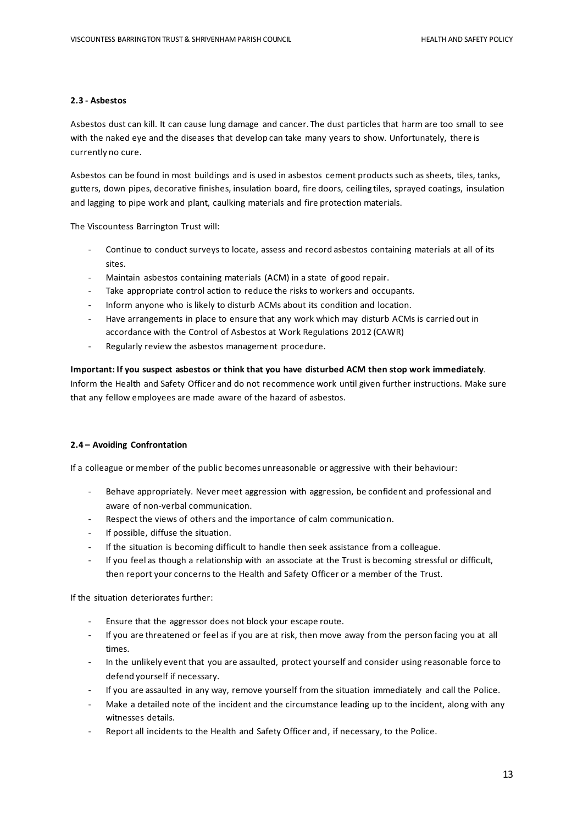#### **2.3 - Asbestos**

Asbestos dust can kill. It can cause lung damage and cancer. The dust particles that harm are too small to see with the naked eye and the diseases that develop can take many years to show. Unfortunately, there is currently no cure.

Asbestos can be found in most buildings and is used in asbestos cement products such as sheets, tiles, tanks, gutters, down pipes, decorative finishes, insulation board, fire doors, ceiling tiles, sprayed coatings, insulation and lagging to pipe work and plant, caulking materials and fire protection materials.

The Viscountess Barrington Trust will:

- Continue to conduct surveys to locate, assess and record asbestos containing materials at all of its sites.
- Maintain asbestos containing materials (ACM) in a state of good repair.
- Take appropriate control action to reduce the risks to workers and occupants.
- Inform anyone who is likely to disturb ACMs about its condition and location.
- Have arrangements in place to ensure that any work which may disturb ACMs is carried out in accordance with the Control of Asbestos at Work Regulations 2012 (CAWR)
- Regularly review the asbestos management procedure.

#### **Important: If you suspect asbestos or think that you have disturbed ACM then stop work immediately**.

Inform the Health and Safety Officer and do not recommence work until given further instructions. Make sure that any fellow employees are made aware of the hazard of asbestos.

#### **2.4 – Avoiding Confrontation**

If a colleague or member of the public becomes unreasonable or aggressive with their behaviour:

- Behave appropriately. Never meet aggression with aggression, be confident and professional and aware of non-verbal communication.
- Respect the views of others and the importance of calm communication.
- If possible, diffuse the situation.
- If the situation is becoming difficult to handle then seek assistance from a colleague.
- If you feel as though a relationship with an associate at the Trust is becoming stressful or difficult, then report your concernsto the Health and Safety Officer or a member of the Trust.

If the situation deteriorates further:

- Ensure that the aggressor does not block your escape route.
- If you are threatened or feel as if you are at risk, then move away from the person facing you at all times.
- In the unlikely event that you are assaulted, protect yourself and consider using reasonable force to defend yourself if necessary.
- If you are assaulted in any way, remove yourself from the situation immediately and call the Police.
- Make a detailed note of the incident and the circumstance leading up to the incident, along with any witnesses details.
- Report all incidents to the Health and Safety Officer and, if necessary, to the Police.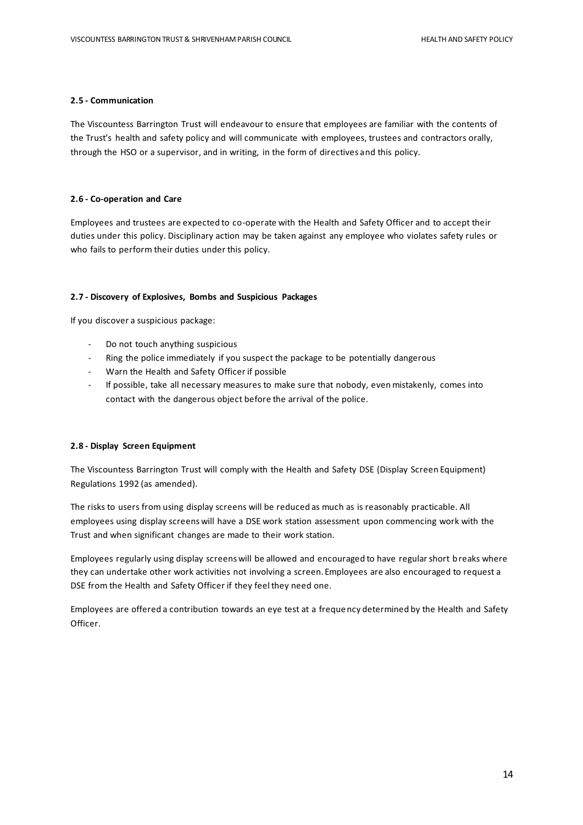#### **2.5 - Communication**

The Viscountess Barrington Trust will endeavour to ensure that employees are familiar with the contents of the Trust's health and safety policy and will communicate with employees, trustees and contractors orally, through the HSO or a supervisor, and in writing, in the form of directives and this policy.

#### **2.6 - Co-operation and Care**

Employees and trustees are expected to co-operate with the Health and Safety Officer and to accept their duties under this policy. Disciplinary action may be taken against any employee who violates safety rules or who fails to perform their duties under this policy.

#### **2.7 - Discovery of Explosives, Bombs and Suspicious Packages**

If you discover a suspicious package:

- Do not touch anything suspicious
- Ring the police immediately if you suspect the package to be potentially dangerous
- Warn the Health and Safety Officer if possible
- If possible, take all necessary measures to make sure that nobody, even mistakenly, comes into contact with the dangerous object before the arrival of the police.

#### **2.8 - Display Screen Equipment**

The Viscountess Barrington Trust will comply with the Health and Safety DSE (Display Screen Equipment) Regulations 1992 (as amended).

The risks to users from using display screens will be reduced as much as is reasonably practicable. All employees using display screens will have a DSE work station assessment upon commencing work with the Trust and when significant changes are made to their work station.

Employees regularly using display screens will be allowed and encouraged to have regular short breaks where they can undertake other work activities not involving a screen. Employees are also encouraged to request a DSE from the Health and Safety Officer if they feel they need one.

Employees are offered a contribution towards an eye test at a frequency determined by the Health and Safety Officer.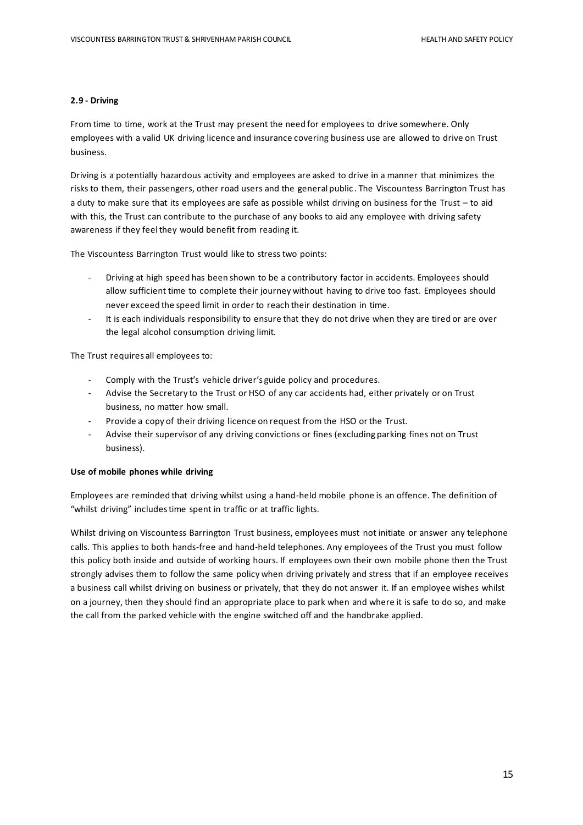#### **2.9 - Driving**

From time to time, work at the Trust may present the need for employees to drive somewhere. Only employees with a valid UK driving licence and insurance covering business use are allowed to drive on Trust business.

Driving is a potentially hazardous activity and employees are asked to drive in a manner that minimizes the risks to them, their passengers, other road users and the general public . The Viscountess Barrington Trust has a duty to make sure that its employees are safe as possible whilst driving on business for the Trust – to aid with this, the Trust can contribute to the purchase of any books to aid any employee with driving safety awareness if they feel they would benefit from reading it.

The Viscountess Barrington Trust would like to stress two points:

- Driving at high speed has been shown to be a contributory factor in accidents. Employees should allow sufficient time to complete their journey without having to drive too fast. Employees should never exceed the speed limit in order to reach their destination in time.
- It is each individuals responsibility to ensure that they do not drive when they are tired or are over the legal alcohol consumption driving limit.

The Trust requires all employees to:

- Comply with the Trust's vehicle driver's guide policy and procedures.
- Advise the Secretary to the Trust or HSO of any car accidents had, either privately or on Trust business, no matter how small.
- Provide a copy of their driving licence on request from the HSO or the Trust.
- Advise their supervisor of any driving convictions or fines (excluding parking fines not on Trust business).

#### **Use of mobile phones while driving**

Employees are reminded that driving whilst using a hand-held mobile phone is an offence. The definition of "whilst driving" includes time spent in traffic or at traffic lights.

Whilst driving on Viscountess Barrington Trust business, employees must not initiate or answer any telephone calls. This applies to both hands-free and hand-held telephones. Any employees of the Trust you must follow this policy both inside and outside of working hours. If employees own their own mobile phone then the Trust strongly advises them to follow the same policy when driving privately and stress that if an employee receives a business call whilst driving on business or privately, that they do not answer it. If an employee wishes whilst on a journey, then they should find an appropriate place to park when and where it is safe to do so, and make the call from the parked vehicle with the engine switched off and the handbrake applied.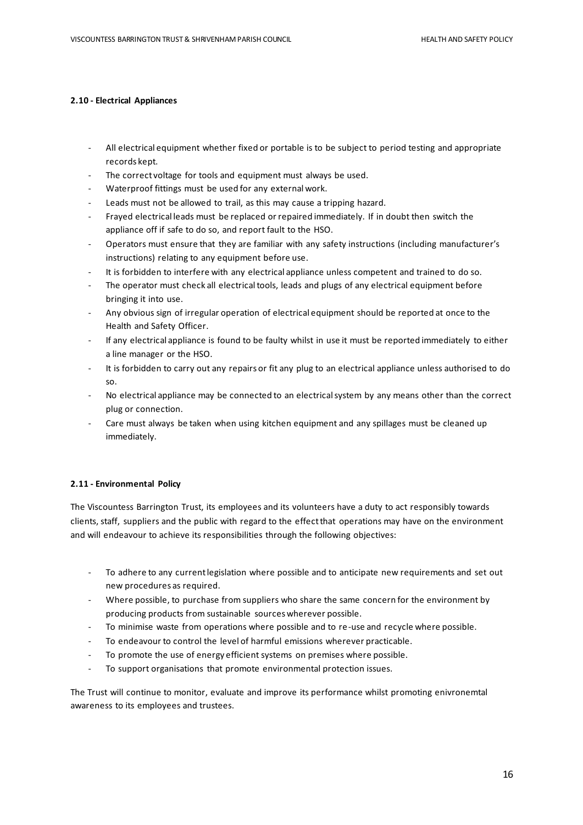#### **2.10 - Electrical Appliances**

- All electrical equipment whether fixed or portable is to be subject to period testing and appropriate records kept.
- The correct voltage for tools and equipment must always be used.
- Waterproof fittings must be used for any external work.
- Leads must not be allowed to trail, as this may cause a tripping hazard.
- Frayed electrical leads must be replaced or repaired immediately. If in doubt then switch the appliance off if safe to do so, and report fault to the HSO.
- Operators must ensure that they are familiar with any safety instructions (including manufacturer's instructions) relating to any equipment before use.
- It is forbidden to interfere with any electrical appliance unless competent and trained to do so.
- The operator must check all electrical tools, leads and plugs of any electrical equipment before bringing it into use.
- Any obvious sign of irregular operation of electrical equipment should be reported at once to the Health and Safety Officer.
- If any electrical appliance is found to be faulty whilst in use it must be reported immediately to either a line manager or the HSO.
- It is forbidden to carry out any repairs or fit any plug to an electrical appliance unless authorised to do so.
- No electrical appliance may be connected to an electrical system by any means other than the correct plug or connection.
- Care must always be taken when using kitchen equipment and any spillages must be cleaned up immediately.

#### **2.11 - Environmental Policy**

The Viscountess Barrington Trust, its employees and its volunteers have a duty to act responsibly towards clients, staff, suppliers and the public with regard to the effect that operations may have on the environment and will endeavour to achieve its responsibilities through the following objectives:

- To adhere to any current legislation where possible and to anticipate new requirements and set out new procedures as required.
- Where possible, to purchase from suppliers who share the same concern for the environment by producing products from sustainable sources wherever possible.
- To minimise waste from operations where possible and to re-use and recycle where possible.
- To endeavour to control the level of harmful emissions wherever practicable.
- To promote the use of energy efficient systems on premises where possible.
- To support organisations that promote environmental protection issues.

The Trust will continue to monitor, evaluate and improve its performance whilst promoting enivronemtal awareness to its employees and trustees.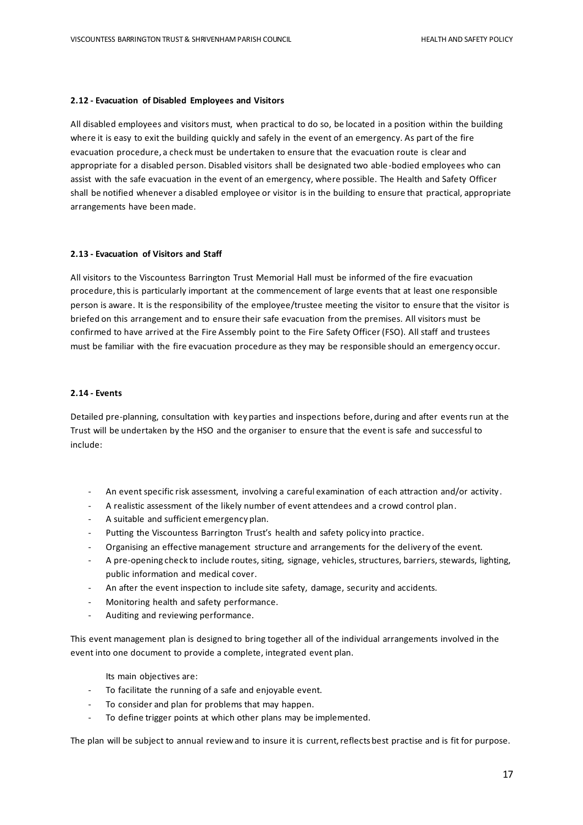#### **2.12 - Evacuation of Disabled Employees and Visitors**

All disabled employees and visitors must, when practical to do so, be located in a position within the building where it is easy to exit the building quickly and safely in the event of an emergency. As part of the fire evacuation procedure, a check must be undertaken to ensure that the evacuation route is clear and appropriate for a disabled person. Disabled visitors shall be designated two able -bodied employees who can assist with the safe evacuation in the event of an emergency, where possible. The Health and Safety Officer shall be notified whenever a disabled employee or visitor is in the building to ensure that practical, appropriate arrangements have been made.

#### **2.13 - Evacuation of Visitors and Staff**

All visitors to the Viscountess Barrington Trust Memorial Hall must be informed of the fire evacuation procedure, this is particularly important at the commencement of large events that at least one responsible person is aware. It is the responsibility of the employee/trustee meeting the visitor to ensure that the visitor is briefed on this arrangement and to ensure their safe evacuation from the premises. All visitors must be confirmed to have arrived at the Fire Assembly point to the Fire Safety Officer (FSO). All staff and trustees must be familiar with the fire evacuation procedure as they may be responsible should an emergency occur.

#### **2.14 - Events**

Detailed pre-planning, consultation with key parties and inspections before, during and after events run at the Trust will be undertaken by the HSO and the organiser to ensure that the event is safe and successful to include:

- An event specific risk assessment, involving a careful examination of each attraction and/or activity.
- A realistic assessment of the likely number of event attendees and a crowd control plan.
- A suitable and sufficient emergency plan.
- Putting the Viscountess Barrington Trust's health and safety policy into practice.
- Organising an effective management structure and arrangements for the delivery of the event.
- A pre-opening check to include routes, siting, signage, vehicles, structures, barriers, stewards, lighting, public information and medical cover.
- An after the event inspection to include site safety, damage, security and accidents.
- Monitoring health and safety performance.
- Auditing and reviewing performance.

This event management plan is designed to bring together all of the individual arrangements involved in the event into one document to provide a complete, integrated event plan.

Its main objectives are:

- To facilitate the running of a safe and enjoyable event.
- To consider and plan for problems that may happen.
- To define trigger points at which other plans may be implemented.

The plan will be subject to annual review and to insure it is current, reflects best practise and is fit for purpose.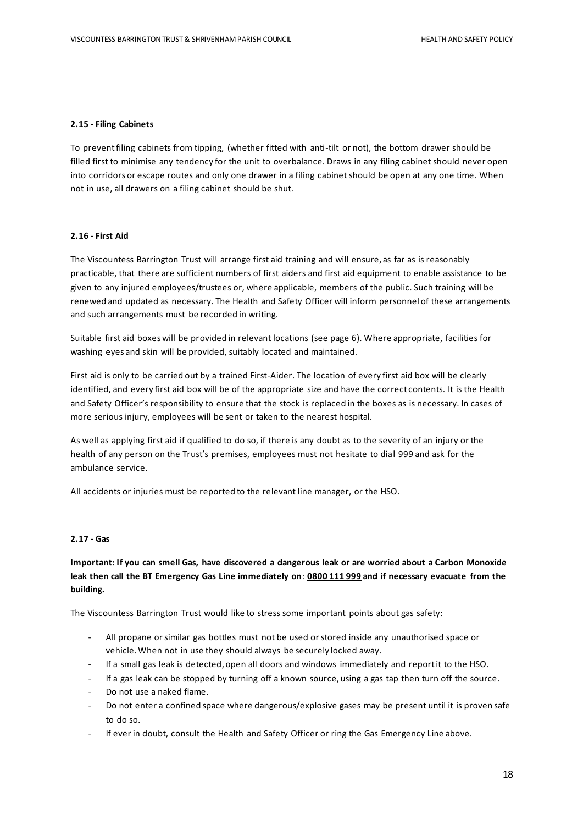#### **2.15 - Filing Cabinets**

To prevent filing cabinets from tipping, (whether fitted with anti-tilt or not), the bottom drawer should be filled first to minimise any tendency for the unit to overbalance. Draws in any filing cabinet should never open into corridors or escape routes and only one drawer in a filing cabinet should be open at any one time. When not in use, all drawers on a filing cabinet should be shut.

#### **2.16 - First Aid**

The Viscountess Barrington Trust will arrange first aid training and will ensure, as far as is reasonably practicable, that there are sufficient numbers of first aiders and first aid equipment to enable assistance to be given to any injured employees/trustees or, where applicable, members of the public. Such training will be renewed and updated as necessary. The Health and Safety Officer will inform personnel of these arrangements and such arrangements must be recorded in writing.

Suitable first aid boxes will be provided in relevant locations (see page 6). Where appropriate, facilities for washing eyes and skin will be provided, suitably located and maintained.

First aid is only to be carried out by a trained First-Aider. The location of every first aid box will be clearly identified, and every first aid box will be of the appropriate size and have the correct contents. It is the Health and Safety Officer's responsibility to ensure that the stock is replaced in the boxes as is necessary. In cases of more serious injury, employees will be sent or taken to the nearest hospital.

As well as applying first aid if qualified to do so, if there is any doubt as to the severity of an injury or the health of any person on the Trust's premises, employees must not hesitate to dial 999 and ask for the ambulance service.

All accidents or injuries must be reported to the relevant line manager, or the HSO.

#### **2.17 - Gas**

### **Important: If you can smell Gas, have discovered a dangerous leak or are worried about a Carbon Monoxide leak then call the BT Emergency Gas Line immediately on**: **0800 111 999 and if necessary evacuate from the building.**

The Viscountess Barrington Trust would like to stress some important points about gas safety:

- All propane or similar gas bottles must not be used or stored inside any unauthorised space or vehicle. When not in use they should always be securely locked away.
- If a small gas leak is detected, open all doors and windows immediately and report it to the HSO.
- If a gas leak can be stopped by turning off a known source, using a gas tap then turn off the source.
- Do not use a naked flame.
- Do not enter a confined space where dangerous/explosive gases may be present until it is proven safe to do so.
- If ever in doubt, consult the Health and Safety Officer or ring the Gas Emergency Line above.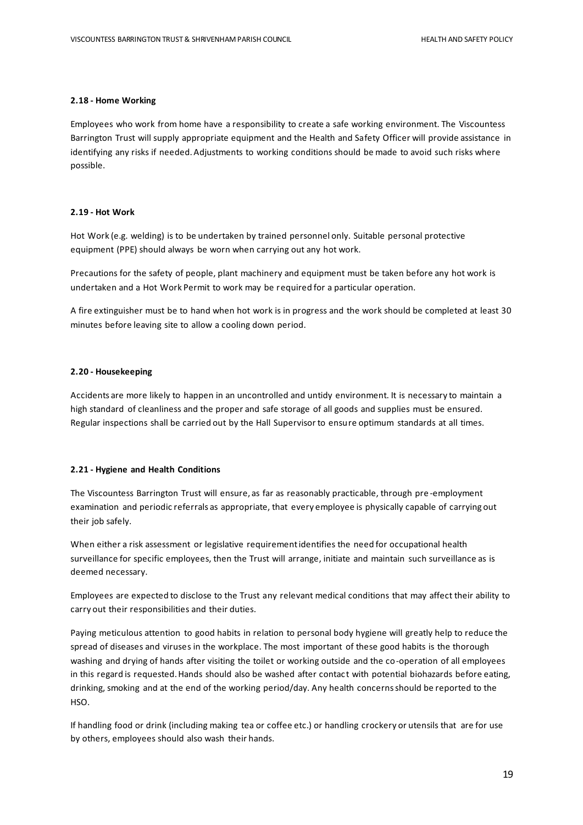#### **2.18 - Home Working**

Employees who work from home have a responsibility to create a safe working environment. The Viscountess Barrington Trust will supply appropriate equipment and the Health and Safety Officer will provide assistance in identifying any risks if needed. Adjustments to working conditions should be made to avoid such risks where possible.

#### **2.19 - Hot Work**

Hot Work (e.g. welding) is to be undertaken by trained personnel only. Suitable personal protective equipment (PPE) should always be worn when carrying out any hot work.

Precautions for the safety of people, plant machinery and equipment must be taken before any hot work is undertaken and a Hot Work Permit to work may be required for a particular operation.

A fire extinguisher must be to hand when hot work is in progress and the work should be completed at least 30 minutes before leaving site to allow a cooling down period.

#### **2.20 - Housekeeping**

Accidents are more likely to happen in an uncontrolled and untidy environment. It is necessary to maintain a high standard of cleanliness and the proper and safe storage of all goods and supplies must be ensured. Regular inspections shall be carried out by the Hall Supervisor to ensure optimum standards at all times.

#### **2.21 - Hygiene and Health Conditions**

The Viscountess Barrington Trust will ensure, as far as reasonably practicable, through pre -employment examination and periodic referrals as appropriate, that every employee is physically capable of carrying out their job safely.

When either a risk assessment or legislative requirement identifies the need for occupational health surveillance for specific employees, then the Trust will arrange, initiate and maintain such surveillance as is deemed necessary.

Employees are expected to disclose to the Trust any relevant medical conditions that may affect their ability to carry out their responsibilities and their duties.

Paying meticulous attention to good habits in relation to personal body hygiene will greatly help to reduce the spread of diseases and viruses in the workplace. The most important of these good habits is the thorough washing and drying of hands after visiting the toilet or working outside and the co-operation of all employees in this regard is requested. Hands should also be washed after contact with potential biohazards before eating, drinking, smoking and at the end of the working period/day. Any health concerns should be reported to the HSO.

If handling food or drink (including making tea or coffee etc.) or handling crockery or utensils that are for use by others, employees should also wash their hands.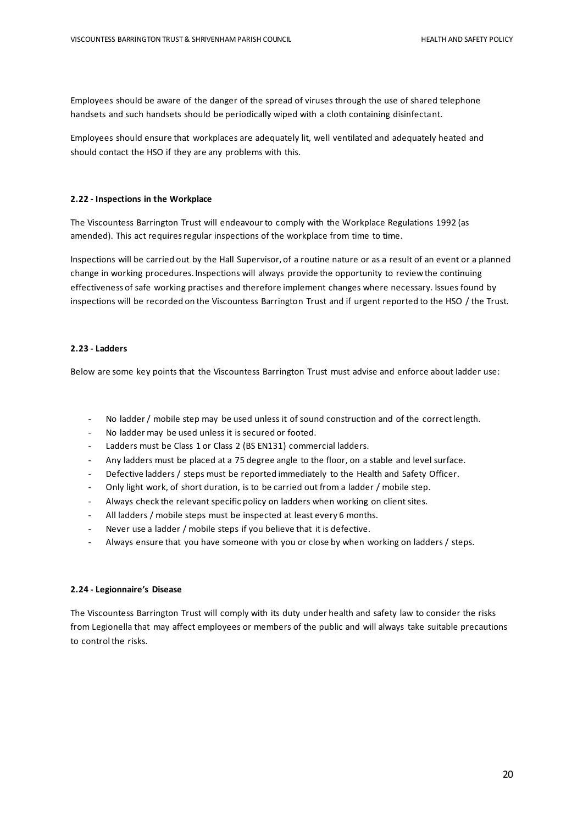Employees should be aware of the danger of the spread of viruses through the use of shared telephone handsets and such handsets should be periodically wiped with a cloth containing disinfectant.

Employees should ensure that workplaces are adequately lit, well ventilated and adequately heated and should contact the HSO if they are any problems with this.

#### **2.22 - Inspections in the Workplace**

The Viscountess Barrington Trust will endeavour to comply with the Workplace Regulations 1992 (as amended). This act requires regular inspections of the workplace from time to time.

Inspections will be carried out by the Hall Supervisor, of a routine nature or as a result of an event or a planned change in working procedures. Inspections will always provide the opportunity to review the continuing effectiveness of safe working practises and therefore implement changes where necessary. Issues found by inspections will be recorded on the Viscountess Barrington Trust and if urgent reported to the HSO / the Trust.

#### **2.23 - Ladders**

Below are some key points that the Viscountess Barrington Trust must advise and enforce about ladder use:

- No ladder / mobile step may be used unless it of sound construction and of the correct length.
- No ladder may be used unless it is secured or footed.
- Ladders must be Class 1 or Class 2 (BS EN131) commercial ladders.
- Any ladders must be placed at a 75 degree angle to the floor, on a stable and level surface.
- Defective ladders / steps must be reported immediately to the Health and Safety Officer.
- Only light work, of short duration, is to be carried out from a ladder / mobile step.
- Always check the relevant specific policy on ladders when working on client sites.
- All ladders / mobile steps must be inspected at least every 6 months.
- Never use a ladder / mobile steps if you believe that it is defective.
- Always ensure that you have someone with you or close by when working on ladders / steps.

#### **2.24 - Legionnaire's Disease**

The Viscountess Barrington Trust will comply with its duty under health and safety law to consider the risks from Legionella that may affect employees or members of the public and will always take suitable precautions to control the risks.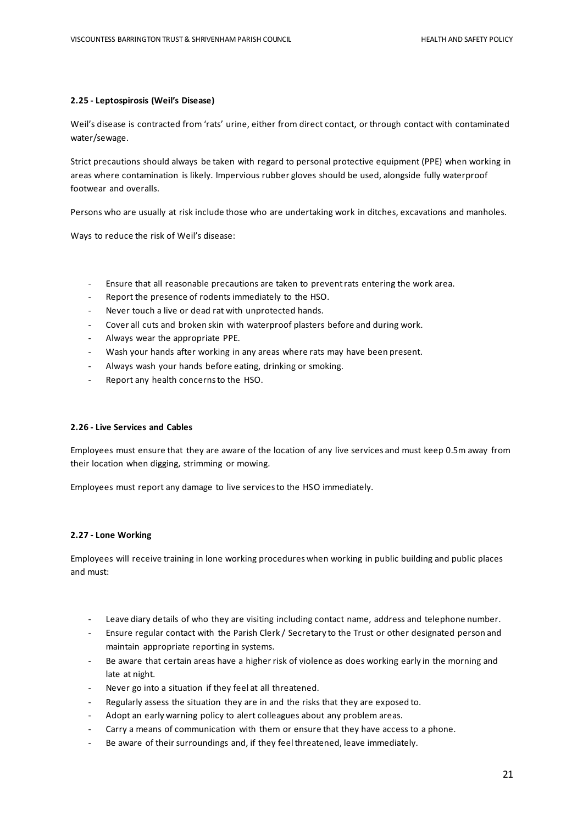#### **2.25 - Leptospirosis (Weil's Disease)**

Weil's disease is contracted from 'rats' urine, either from direct contact, or through contact with contaminated water/sewage.

Strict precautions should always be taken with regard to personal protective equipment (PPE) when working in areas where contamination is likely. Impervious rubber gloves should be used, alongside fully waterproof footwear and overalls.

Persons who are usually at risk include those who are undertaking work in ditches, excavations and manholes.

Ways to reduce the risk of Weil's disease:

- Ensure that all reasonable precautions are taken to prevent rats entering the work area.
- Report the presence of rodents immediately to the HSO.
- Never touch a live or dead rat with unprotected hands.
- Cover all cuts and broken skin with waterproof plasters before and during work.
- Always wear the appropriate PPE.
- Wash your hands after working in any areas where rats may have been present.
- Always wash your hands before eating, drinking or smoking.
- Report any health concerns to the HSO.

#### **2.26 - Live Services and Cables**

Employees must ensure that they are aware of the location of any live services and must keep 0.5m away from their location when digging, strimming or mowing.

Employees must report any damage to live services to the HSO immediately.

#### **2.27 - Lone Working**

Employees will receive training in lone working procedures when working in public building and public places and must:

- Leave diary details of who they are visiting including contact name, address and telephone number.
- Ensure regular contact with the Parish Clerk / Secretary to the Trust or other designated person and maintain appropriate reporting in systems.
- Be aware that certain areas have a higher risk of violence as does working early in the morning and late at night.
- Never go into a situation if they feel at all threatened.
- Regularly assess the situation they are in and the risks that they are exposed to.
- Adopt an early warning policy to alert colleagues about any problem areas.
- Carry a means of communication with them or ensure that they have access to a phone.
- Be aware of their surroundings and, if they feel threatened, leave immediately.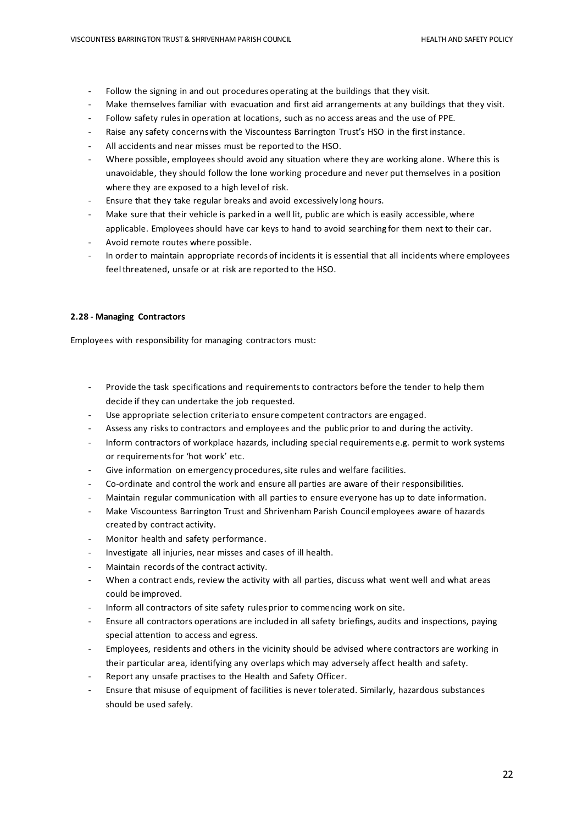- Follow the signing in and out procedures operating at the buildings that they visit.
- Make themselves familiar with evacuation and first aid arrangements at any buildings that they visit.
- Follow safety rules in operation at locations, such as no access areas and the use of PPE.
- Raise any safety concerns with the Viscountess Barrington Trust's HSO in the first instance.
- All accidents and near misses must be reported to the HSO.
- Where possible, employees should avoid any situation where they are working alone. Where this is unavoidable, they should follow the lone working procedure and never put themselves in a position where they are exposed to a high level of risk.
- Ensure that they take regular breaks and avoid excessively long hours.
- Make sure that their vehicle is parked in a well lit, public are which is easily accessible, where applicable. Employees should have car keys to hand to avoid searching for them next to their car.
- Avoid remote routes where possible.
- In order to maintain appropriate records of incidents it is essential that all incidents where employees feel threatened, unsafe or at risk are reported to the HSO.

#### **2.28 - Managing Contractors**

Employees with responsibility for managing contractors must:

- Provide the task specifications and requirements to contractors before the tender to help them decide if they can undertake the job requested.
- Use appropriate selection criteria to ensure competent contractors are engaged.
- Assess any risks to contractors and employees and the public prior to and during the activity.
- Inform contractors of workplace hazards, including special requirements e.g. permit to work systems or requirements for 'hot work' etc.
- Give information on emergency procedures, site rules and welfare facilities.
- Co-ordinate and control the work and ensure all parties are aware of their responsibilities.
- Maintain regular communication with all parties to ensure everyone has up to date information.
- Make Viscountess Barrington Trust and Shrivenham Parish Council employees aware of hazards created by contract activity.
- Monitor health and safety performance.
- Investigate all injuries, near misses and cases of ill health.
- Maintain records of the contract activity.
- When a contract ends, review the activity with all parties, discuss what went well and what areas could be improved.
- Inform all contractors of site safety rules prior to commencing work on site.
- Ensure all contractors operations are included in all safety briefings, audits and inspections, paying special attention to access and egress.
- Employees, residents and others in the vicinity should be advised where contractors are working in their particular area, identifying any overlaps which may adversely affect health and safety.
- Report any unsafe practises to the Health and Safety Officer.
- Ensure that misuse of equipment of facilities is never tolerated. Similarly, hazardous substances should be used safely.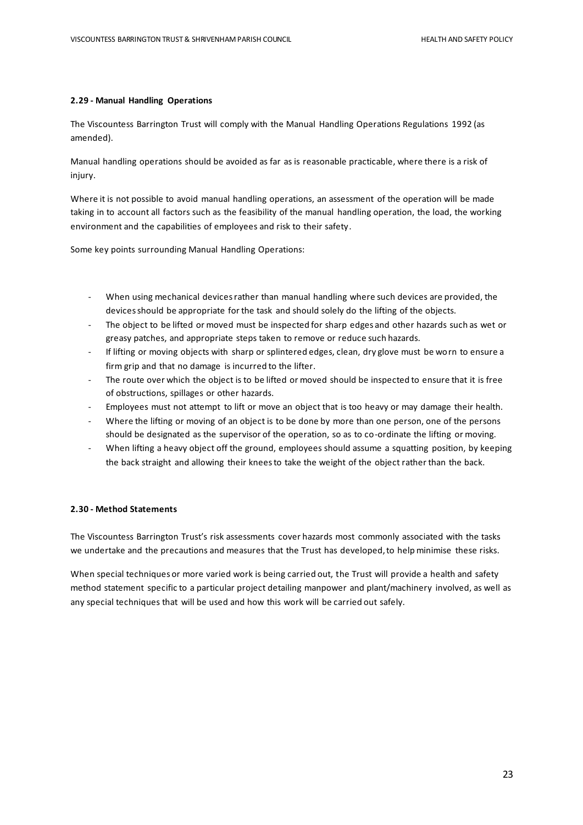#### **2.29 - Manual Handling Operations**

The Viscountess Barrington Trust will comply with the Manual Handling Operations Regulations 1992 (as amended).

Manual handling operations should be avoided as far as is reasonable practicable, where there is a risk of injury.

Where it is not possible to avoid manual handling operations, an assessment of the operation will be made taking in to account all factors such as the feasibility of the manual handling operation, the load, the working environment and the capabilities of employees and risk to their safety.

Some key points surrounding Manual Handling Operations:

- When using mechanical devices rather than manual handling where such devices are provided, the devices should be appropriate for the task and should solely do the lifting of the objects.
- The object to be lifted or moved must be inspected for sharp edges and other hazards such as wet or greasy patches, and appropriate steps taken to remove or reduce such hazards.
- If lifting or moving objects with sharp or splintered edges, clean, dry glove must be worn to ensure a firm grip and that no damage is incurred to the lifter.
- The route over which the object is to be lifted or moved should be inspected to ensure that it is free of obstructions, spillages or other hazards.
- Employees must not attempt to lift or move an object that is too heavy or may damage their health.
- Where the lifting or moving of an object is to be done by more than one person, one of the persons should be designated as the supervisor of the operation, so as to co-ordinate the lifting or moving.
- When lifting a heavy object off the ground, employees should assume a squatting position, by keeping the back straight and allowing their knees to take the weight of the object rather than the back.

#### **2.30 - Method Statements**

The Viscountess Barrington Trust's risk assessments cover hazards most commonly associated with the tasks we undertake and the precautions and measures that the Trust has developed, to help minimise these risks.

When special techniques or more varied work is being carried out, the Trust will provide a health and safety method statement specific to a particular project detailing manpower and plant/machinery involved, as well as any special techniques that will be used and how this work will be carried out safely.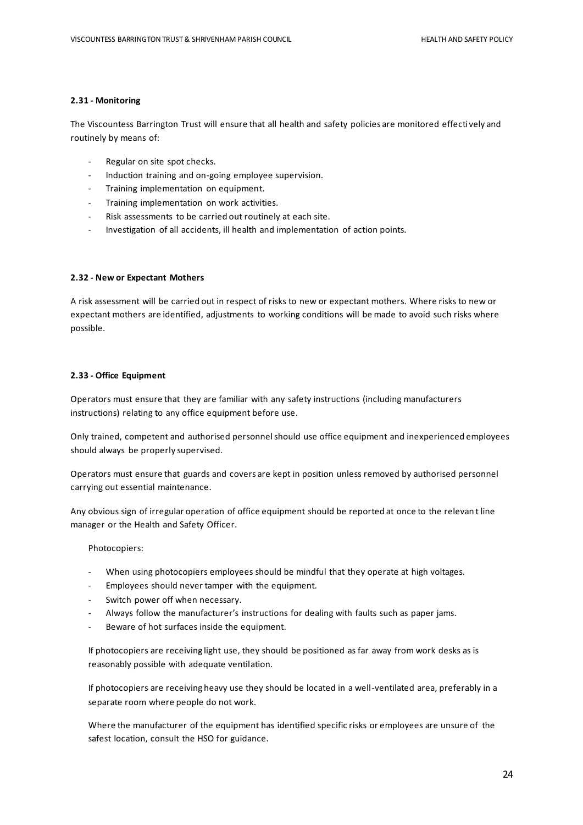#### **2.31 - Monitoring**

The Viscountess Barrington Trust will ensure that all health and safety policies are monitored effectively and routinely by means of:

- Regular on site spot checks.
- Induction training and on-going employee supervision.
- Training implementation on equipment.
- Training implementation on work activities.
- Risk assessments to be carried out routinely at each site.
- Investigation of all accidents, ill health and implementation of action points.

#### **2.32 - New or Expectant Mothers**

A risk assessment will be carried out in respect of risks to new or expectant mothers. Where risks to new or expectant mothers are identified, adjustments to working conditions will be made to avoid such risks where possible.

#### **2.33 - Office Equipment**

Operators must ensure that they are familiar with any safety instructions (including manufacturers instructions) relating to any office equipment before use.

Only trained, competent and authorised personnel should use office equipment and inexperienced employees should always be properly supervised.

Operators must ensure that guards and covers are kept in position unless removed by authorised personnel carrying out essential maintenance.

Any obvious sign of irregular operation of office equipment should be reported at once to the relevan t line manager or the Health and Safety Officer.

#### Photocopiers:

- When using photocopiers employees should be mindful that they operate at high voltages.
- Employees should never tamper with the equipment.
- Switch power off when necessary.
- Always follow the manufacturer's instructions for dealing with faults such as paper jams.
- Beware of hot surfaces inside the equipment.

If photocopiers are receiving light use, they should be positioned as far away from work desks as is reasonably possible with adequate ventilation.

If photocopiers are receiving heavy use they should be located in a well-ventilated area, preferably in a separate room where people do not work.

Where the manufacturer of the equipment has identified specific risks or employees are unsure of the safest location, consult the HSO for guidance.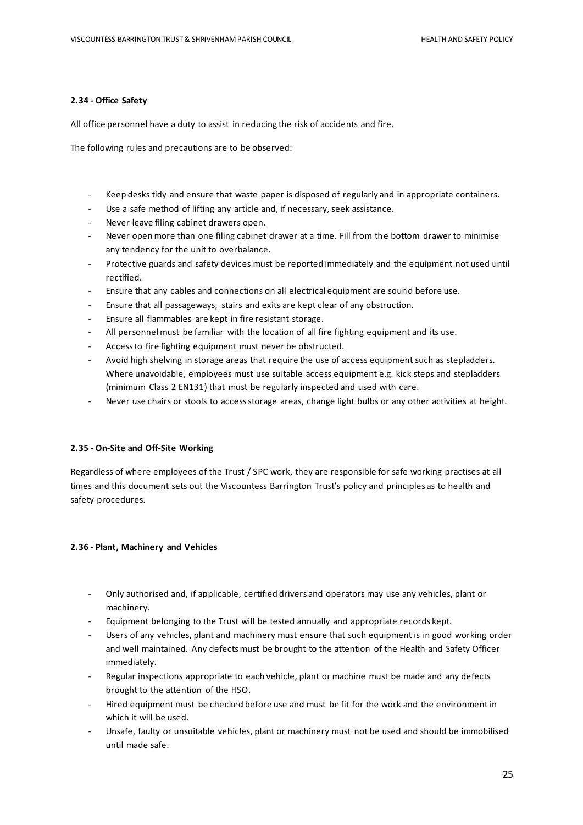#### **2.34 - Office Safety**

All office personnel have a duty to assist in reducing the risk of accidents and fire.

The following rules and precautions are to be observed:

- Keep desks tidy and ensure that waste paper is disposed of regularly and in appropriate containers.
- Use a safe method of lifting any article and, if necessary, seek assistance.
- Never leave filing cabinet drawers open.
- Never open more than one filing cabinet drawer at a time. Fill from the bottom drawer to minimise any tendency for the unit to overbalance.
- Protective guards and safety devices must be reported immediately and the equipment not used until rectified.
- Ensure that any cables and connections on all electrical equipment are sound before use.
- Ensure that all passageways, stairs and exits are kept clear of any obstruction.
- Ensure all flammables are kept in fire resistant storage.
- All personnel must be familiar with the location of all fire fighting equipment and its use.
- Access to fire fighting equipment must never be obstructed.
- Avoid high shelving in storage areas that require the use of access equipment such as stepladders. Where unavoidable, employees must use suitable access equipment e.g. kick steps and stepladders (minimum Class 2 EN131) that must be regularly inspected and used with care.
- Never use chairs or stools to access storage areas, change light bulbs or any other activities at height.

#### **2.35 - On-Site and Off-Site Working**

Regardless of where employees of the Trust / SPC work, they are responsible for safe working practises at all times and this document sets out the Viscountess Barrington Trust's policy and principles as to health and safety procedures.

#### **2.36 - Plant, Machinery and Vehicles**

- Only authorised and, if applicable, certified drivers and operators may use any vehicles, plant or machinery.
- Equipment belonging to the Trust will be tested annually and appropriate records kept.
- Users of any vehicles, plant and machinery must ensure that such equipment is in good working order and well maintained. Any defects must be brought to the attention of the Health and Safety Officer immediately.
- Regular inspections appropriate to each vehicle, plant or machine must be made and any defects brought to the attention of the HSO.
- Hired equipment must be checked before use and must be fit for the work and the environment in which it will be used.
- Unsafe, faulty or unsuitable vehicles, plant or machinery must not be used and should be immobilised until made safe.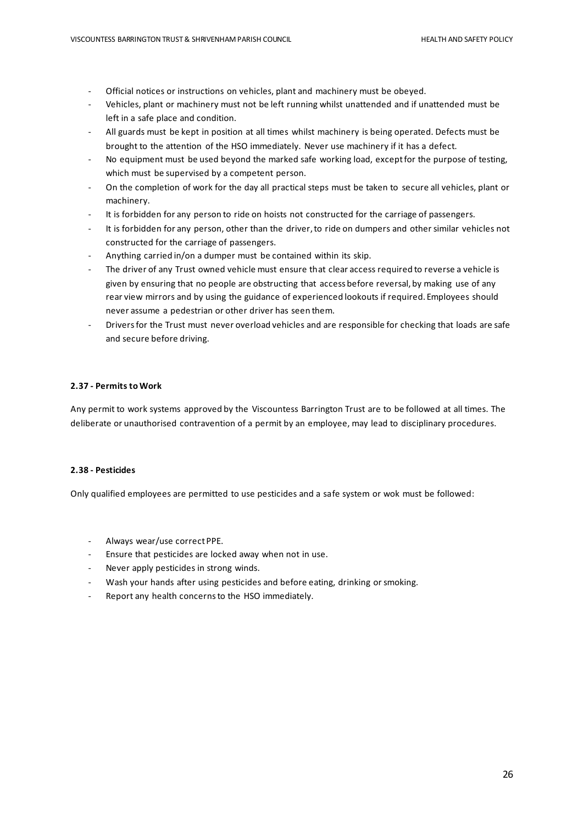- Official notices or instructions on vehicles, plant and machinery must be obeyed.
- Vehicles, plant or machinery must not be left running whilst unattended and if unattended must be left in a safe place and condition.
- All guards must be kept in position at all times whilst machinery is being operated. Defects must be brought to the attention of the HSO immediately. Never use machinery if it has a defect.
- No equipment must be used beyond the marked safe working load, except for the purpose of testing, which must be supervised by a competent person.
- On the completion of work for the day all practical steps must be taken to secure all vehicles, plant or machinery.
- It is forbidden for any person to ride on hoists not constructed for the carriage of passengers.
- It is forbidden for any person, other than the driver, to ride on dumpers and other similar vehicles not constructed for the carriage of passengers.
- Anything carried in/on a dumper must be contained within its skip.
- The driver of any Trust owned vehicle must ensure that clear access required to reverse a vehicle is given by ensuring that no people are obstructing that access before reversal, by making use of any rear view mirrors and by using the guidance of experienced lookouts if required. Employees should never assume a pedestrian or other driver has seen them.
- Drivers for the Trust must never overload vehicles and are responsible for checking that loads are safe and secure before driving.

#### **2.37 - Permits to Work**

Any permit to work systems approved by the Viscountess Barrington Trust are to be followed at all times. The deliberate or unauthorised contravention of a permit by an employee, may lead to disciplinary procedures.

#### **2.38 - Pesticides**

Only qualified employees are permitted to use pesticides and a safe system or wok must be followed:

- Always wear/use correct PPE.
- Ensure that pesticides are locked away when not in use.
- Never apply pesticides in strong winds.
- Wash your hands after using pesticides and before eating, drinking or smoking.
- Report any health concerns to the HSO immediately.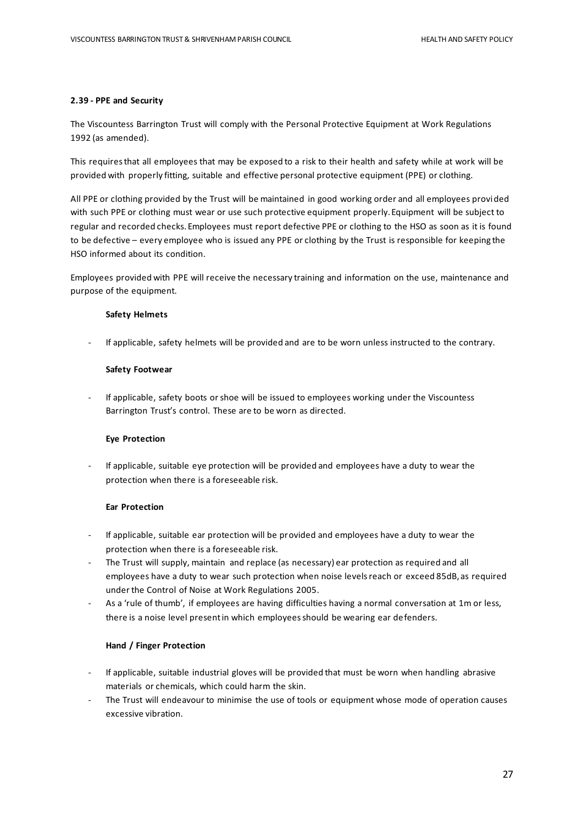#### **2.39 - PPE and Security**

The Viscountess Barrington Trust will comply with the Personal Protective Equipment at Work Regulations 1992 (as amended).

This requires that all employees that may be exposed to a risk to their health and safety while at work will be provided with properly fitting, suitable and effective personal protective equipment (PPE) or clothing.

All PPE or clothing provided by the Trust will be maintained in good working order and all employees provided with such PPE or clothing must wear or use such protective equipment properly. Equipment will be subject to regular and recorded checks. Employees must report defective PPE or clothing to the HSO as soon as it is found to be defective – every employee who is issued any PPE or clothing by the Trust is responsible for keeping the HSO informed about its condition.

Employees provided with PPE will receive the necessary training and information on the use, maintenance and purpose of the equipment.

#### **Safety Helmets**

- If applicable, safety helmets will be provided and are to be worn unless instructed to the contrary.

#### **Safety Footwear**

If applicable, safety boots or shoe will be issued to employees working under the Viscountess Barrington Trust's control. These are to be worn as directed.

#### **Eye Protection**

If applicable, suitable eye protection will be provided and employees have a duty to wear the protection when there is a foreseeable risk.

#### **Ear Protection**

- If applicable, suitable ear protection will be provided and employees have a duty to wear the protection when there is a foreseeable risk.
- The Trust will supply, maintain and replace (as necessary) ear protection as required and all employees have a duty to wear such protection when noise levels reach or exceed 85dB, as required under the Control of Noise at Work Regulations 2005.
- As a 'rule of thumb', if employees are having difficulties having a normal conversation at 1m or less, there is a noise level present in which employees should be wearing ear defenders.

#### **Hand / Finger Protection**

- If applicable, suitable industrial gloves will be provided that must be worn when handling abrasive materials or chemicals, which could harm the skin.
- The Trust will endeavour to minimise the use of tools or equipment whose mode of operation causes excessive vibration.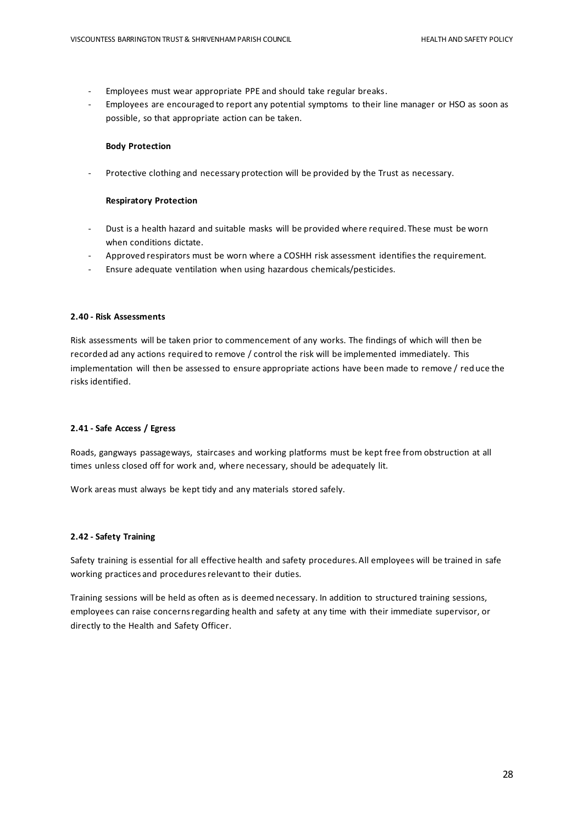- Employees must wear appropriate PPE and should take regular breaks.
- Employees are encouraged to report any potential symptoms to their line manager or HSO as soon as possible, so that appropriate action can be taken.

#### **Body Protection**

Protective clothing and necessary protection will be provided by the Trust as necessary.

#### **Respiratory Protection**

- Dust is a health hazard and suitable masks will be provided where required. These must be worn when conditions dictate.
- Approved respirators must be worn where a COSHH risk assessment identifies the requirement.
- Ensure adequate ventilation when using hazardous chemicals/pesticides.

#### **2.40 - Risk Assessments**

Risk assessments will be taken prior to commencement of any works. The findings of which will then be recorded ad any actions required to remove / control the risk will be implemented immediately. This implementation will then be assessed to ensure appropriate actions have been made to remove / reduce the risks identified.

#### **2.41 - Safe Access / Egress**

Roads, gangways passageways, staircases and working platforms must be kept free from obstruction at all times unless closed off for work and, where necessary, should be adequately lit.

Work areas must always be kept tidy and any materials stored safely.

#### **2.42 - Safety Training**

Safety training is essential for all effective health and safety procedures. All employees will be trained in safe working practices and procedures relevant to their duties.

Training sessions will be held as often as is deemed necessary. In addition to structured training sessions, employees can raise concerns regarding health and safety at any time with their immediate supervisor, or directly to the Health and Safety Officer.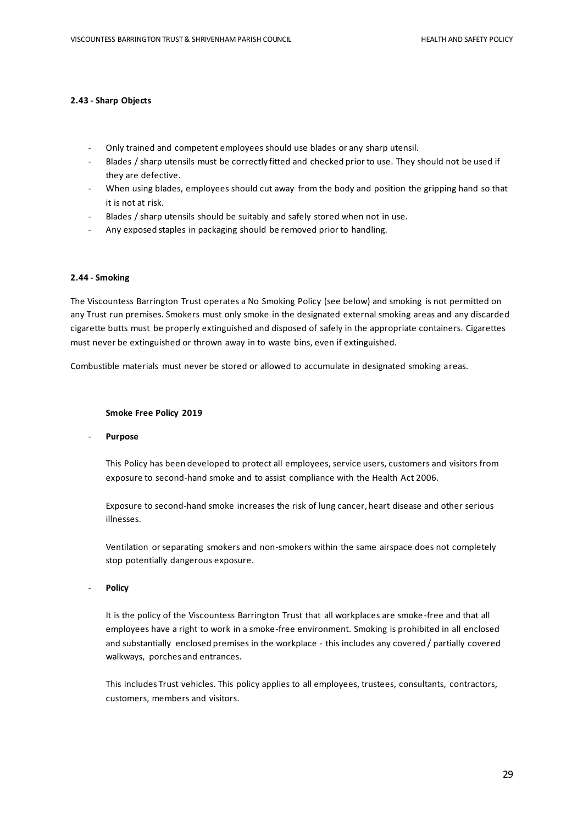#### **2.43 - Sharp Objects**

- Only trained and competent employees should use blades or any sharp utensil.
- Blades / sharp utensils must be correctly fitted and checked prior to use. They should not be used if they are defective.
- When using blades, employees should cut away from the body and position the gripping hand so that it is not at risk.
- Blades / sharp utensils should be suitably and safely stored when not in use.
- Any exposed staples in packaging should be removed prior to handling.

#### **2.44 - Smoking**

The Viscountess Barrington Trust operates a No Smoking Policy (see below) and smoking is not permitted on any Trust run premises. Smokers must only smoke in the designated external smoking areas and any discarded cigarette butts must be properly extinguished and disposed of safely in the appropriate containers. Cigarettes must never be extinguished or thrown away in to waste bins, even if extinguished.

Combustible materials must never be stored or allowed to accumulate in designated smoking areas.

#### **Smoke Free Policy 2019**

- **Purpose**

This Policy has been developed to protect all employees, service users, customers and visitors from exposure to second-hand smoke and to assist compliance with the Health Act 2006.

Exposure to second-hand smoke increases the risk of lung cancer, heart disease and other serious illnesses.

Ventilation or separating smokers and non-smokers within the same airspace does not completely stop potentially dangerous exposure.

- **Policy**

It is the policy of the Viscountess Barrington Trust that all workplaces are smoke -free and that all employees have a right to work in a smoke-free environment. Smoking is prohibited in all enclosed and substantially enclosed premises in the workplace - this includes any covered / partially covered walkways, porches and entrances.

This includes Trust vehicles. This policy applies to all employees, trustees, consultants, contractors, customers, members and visitors.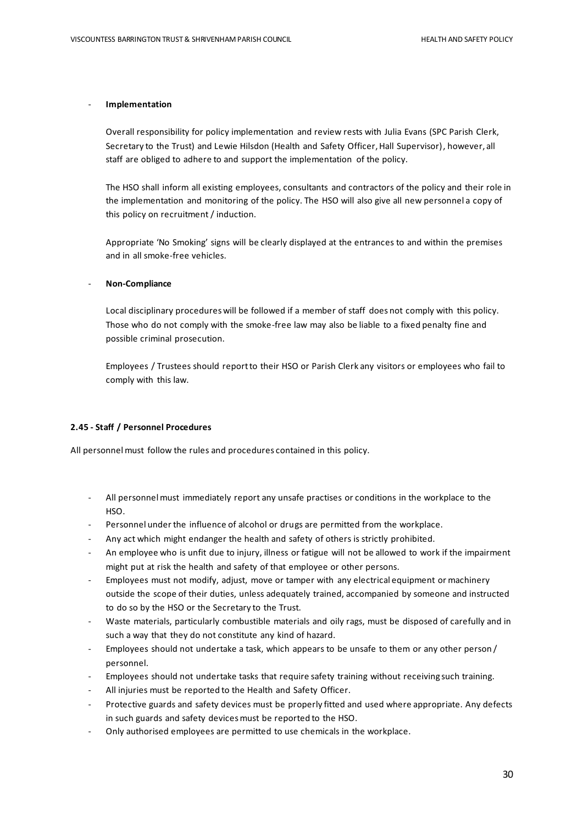#### - **Implementation**

Overall responsibility for policy implementation and review rests with Julia Evans (SPC Parish Clerk, Secretary to the Trust) and Lewie Hilsdon (Health and Safety Officer, Hall Supervisor), however, all staff are obliged to adhere to and support the implementation of the policy.

The HSO shall inform all existing employees, consultants and contractors of the policy and their role in the implementation and monitoring of the policy. The HSO will also give all new personnel a copy of this policy on recruitment / induction.

Appropriate 'No Smoking' signs will be clearly displayed at the entrances to and within the premises and in all smoke-free vehicles.

#### - **Non-Compliance**

Local disciplinary procedures will be followed if a member of staff does not comply with this policy. Those who do not comply with the smoke-free law may also be liable to a fixed penalty fine and possible criminal prosecution.

Employees / Trustees should report to their HSO or Parish Clerk any visitors or employees who fail to comply with this law.

#### **2.45 - Staff / Personnel Procedures**

All personnel must follow the rules and procedures contained in this policy.

- All personnel must immediately report any unsafe practises or conditions in the workplace to the HSO.
- Personnel under the influence of alcohol or drugs are permitted from the workplace.
- Any act which might endanger the health and safety of others is strictly prohibited.
- An employee who is unfit due to injury, illness or fatigue will not be allowed to work if the impairment might put at risk the health and safety of that employee or other persons.
- Employees must not modify, adjust, move or tamper with any electrical equipment or machinery outside the scope of their duties, unless adequately trained, accompanied by someone and instructed to do so by the HSO or the Secretary to the Trust.
- Waste materials, particularly combustible materials and oily rags, must be disposed of carefully and in such a way that they do not constitute any kind of hazard.
- Employees should not undertake a task, which appears to be unsafe to them or any other person / personnel.
- Employees should not undertake tasks that require safety training without receiving such training.
- All injuries must be reported to the Health and Safety Officer.
- Protective guards and safety devices must be properly fitted and used where appropriate. Any defects in such guards and safety devices must be reported to the HSO.
- Only authorised employees are permitted to use chemicals in the workplace.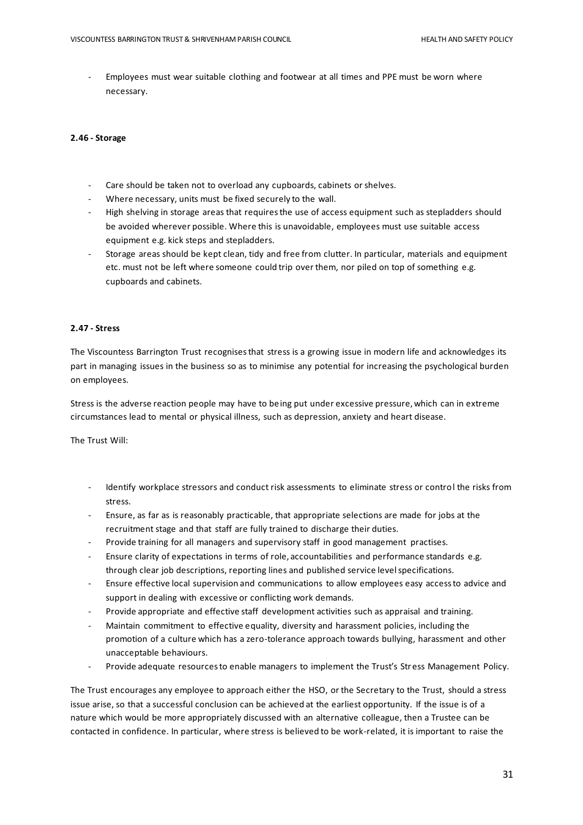Employees must wear suitable clothing and footwear at all times and PPE must be worn where necessary.

#### **2.46 - Storage**

- Care should be taken not to overload any cupboards, cabinets or shelves.
- Where necessary, units must be fixed securely to the wall.
- High shelving in storage areas that requires the use of access equipment such as stepladders should be avoided wherever possible. Where this is unavoidable, employees must use suitable access equipment e.g. kick steps and stepladders.
- Storage areas should be kept clean, tidy and free from clutter. In particular, materials and equipment etc. must not be left where someone could trip over them, nor piled on top of something e.g. cupboards and cabinets.

#### **2.47 - Stress**

The Viscountess Barrington Trust recognises that stress is a growing issue in modern life and acknowledges its part in managing issues in the business so as to minimise any potential for increasing the psychological burden on employees.

Stress is the adverse reaction people may have to being put under excessive pressure, which can in extreme circumstances lead to mental or physical illness, such as depression, anxiety and heart disease.

The Trust Will:

- Identify workplace stressors and conduct risk assessments to eliminate stress or control the risks from stress.
- Ensure, as far as is reasonably practicable, that appropriate selections are made for jobs at the recruitment stage and that staff are fully trained to discharge their duties.
- Provide training for all managers and supervisory staff in good management practises.
- Ensure clarity of expectations in terms of role, accountabilities and performance standards e.g. through clear job descriptions, reporting lines and published service level specifications.
- Ensure effective local supervision and communications to allow employees easy access to advice and support in dealing with excessive or conflicting work demands.
- Provide appropriate and effective staff development activities such as appraisal and training.
- Maintain commitment to effective equality, diversity and harassment policies, including the promotion of a culture which has a zero-tolerance approach towards bullying, harassment and other unacceptable behaviours.
- Provide adequate resources to enable managers to implement the Trust's Stress Management Policy.

The Trust encourages any employee to approach either the HSO, or the Secretary to the Trust, should a stress issue arise, so that a successful conclusion can be achieved at the earliest opportunity. If the issue is of a nature which would be more appropriately discussed with an alternative colleague, then a Trustee can be contacted in confidence. In particular, where stress is believed to be work-related, it is important to raise the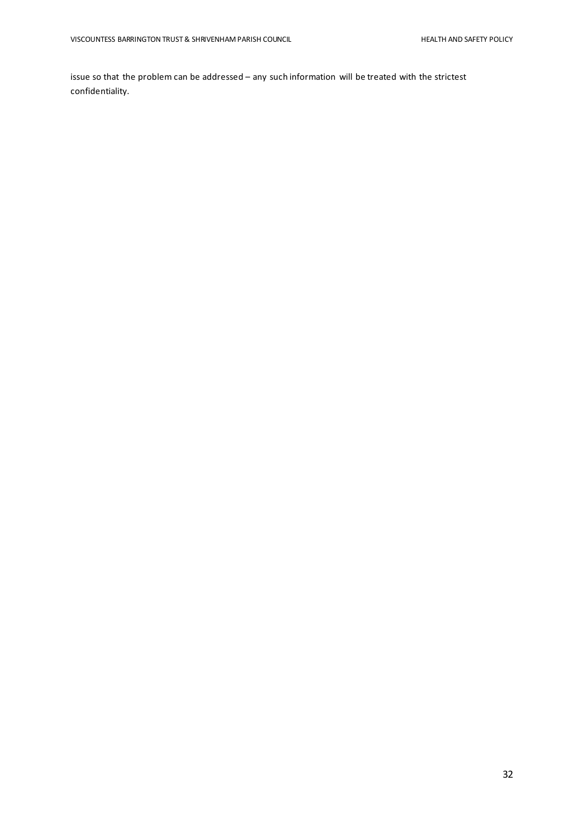issue so that the problem can be addressed – any such information will be treated with the strictest confidentiality.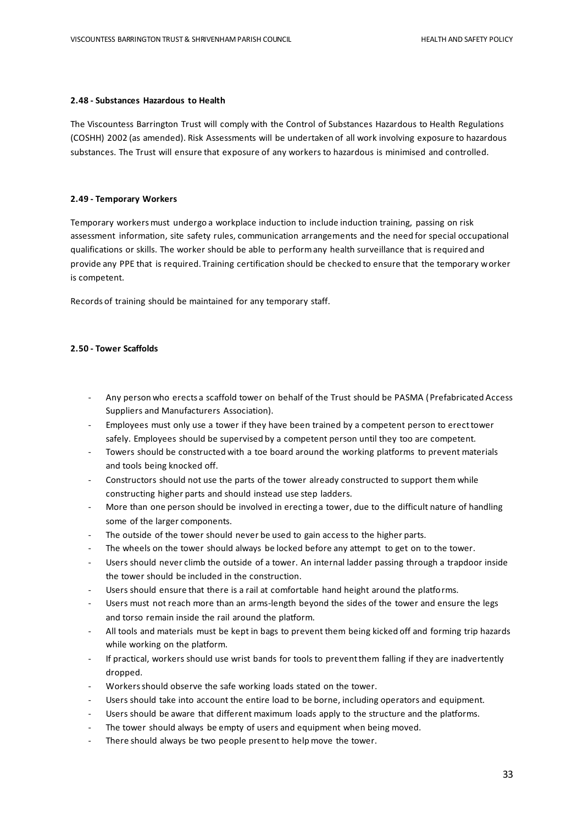#### **2.48 - Substances Hazardous to Health**

The Viscountess Barrington Trust will comply with the Control of Substances Hazardous to Health Regulations (COSHH) 2002 (as amended). Risk Assessments will be undertaken of all work involving exposure to hazardous substances. The Trust will ensure that exposure of any workers to hazardous is minimised and controlled.

#### **2.49 - Temporary Workers**

Temporary workers must undergo a workplace induction to include induction training, passing on risk assessment information, site safety rules, communication arrangements and the need for special occupational qualifications or skills. The worker should be able to perform any health surveillance that is required and provide any PPE that is required. Training certification should be checked to ensure that the temporary worker is competent.

Records of training should be maintained for any temporary staff.

#### **2.50 - Tower Scaffolds**

- Any person who erects a scaffold tower on behalf of the Trust should be PASMA (Prefabricated Access Suppliers and Manufacturers Association).
- Employees must only use a tower if they have been trained by a competent person to erect tower safely. Employees should be supervised by a competent person until they too are competent.
- Towers should be constructed with a toe board around the working platforms to prevent materials and tools being knocked off.
- Constructors should not use the parts of the tower already constructed to support them while constructing higher parts and should instead use step ladders.
- More than one person should be involved in erecting a tower, due to the difficult nature of handling some of the larger components.
- The outside of the tower should never be used to gain access to the higher parts.
- The wheels on the tower should always be locked before any attempt to get on to the tower.
- Users should never climb the outside of a tower. An internal ladder passing through a trapdoor inside the tower should be included in the construction.
- Users should ensure that there is a rail at comfortable hand height around the platforms.
- Users must not reach more than an arms-length beyond the sides of the tower and ensure the legs and torso remain inside the rail around the platform.
- All tools and materials must be kept in bags to prevent them being kicked off and forming trip hazards while working on the platform.
- If practical, workers should use wrist bands for tools to prevent them falling if they are inadvertently dropped.
- Workers should observe the safe working loads stated on the tower.
- Users should take into account the entire load to be borne, including operators and equipment.
- Users should be aware that different maximum loads apply to the structure and the platforms.
- The tower should always be empty of users and equipment when being moved.
- There should always be two people present to help move the tower.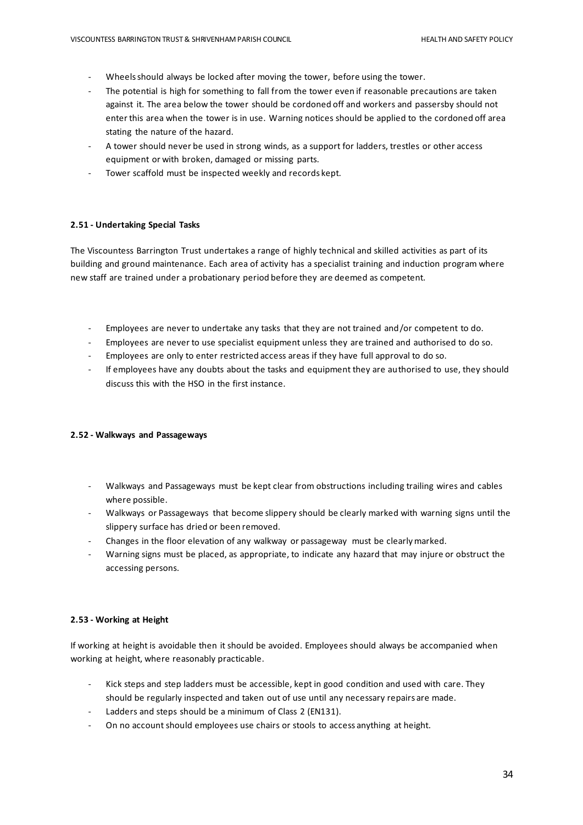- Wheels should always be locked after moving the tower, before using the tower.
- The potential is high for something to fall from the tower even if reasonable precautions are taken against it. The area below the tower should be cordoned off and workers and passersby should not enter this area when the tower is in use. Warning notices should be applied to the cordoned off area stating the nature of the hazard.
- A tower should never be used in strong winds, as a support for ladders, trestles or other access equipment or with broken, damaged or missing parts.
- Tower scaffold must be inspected weekly and records kept.

#### **2.51 - Undertaking Special Tasks**

The Viscountess Barrington Trust undertakes a range of highly technical and skilled activities as part of its building and ground maintenance. Each area of activity has a specialist training and induction program where new staff are trained under a probationary period before they are deemed as competent.

- Employees are never to undertake any tasks that they are not trained and/or competent to do.
- Employees are never to use specialist equipment unless they are trained and authorised to do so.
- Employees are only to enter restricted access areas if they have full approval to do so.
- If employees have any doubts about the tasks and equipment they are authorised to use, they should discuss this with the HSO in the first instance.

#### **2.52 - Walkways and Passageways**

- Walkways and Passageways must be kept clear from obstructions including trailing wires and cables where possible.
- Walkways or Passageways that become slippery should be clearly marked with warning signs until the slippery surface has dried or been removed.
- Changes in the floor elevation of any walkway or passageway must be clearly marked.
- Warning signs must be placed, as appropriate, to indicate any hazard that may injure or obstruct the accessing persons.

#### **2.53 - Working at Height**

If working at height is avoidable then it should be avoided. Employees should always be accompanied when working at height, where reasonably practicable.

- Kick steps and step ladders must be accessible, kept in good condition and used with care. They should be regularly inspected and taken out of use until any necessary repairs are made.
- Ladders and steps should be a minimum of Class 2 (EN131).
- On no account should employees use chairs or stools to access anything at height.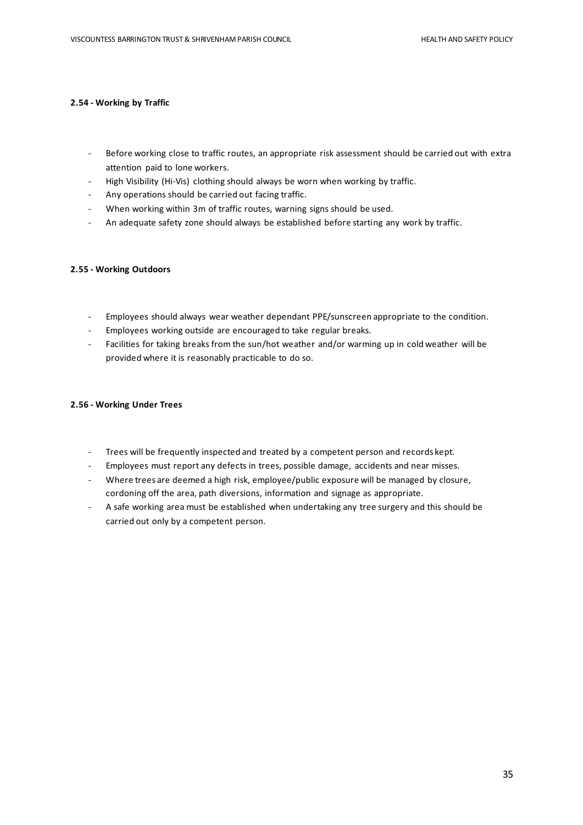#### **2.54 - Working by Traffic**

- Before working close to traffic routes, an appropriate risk assessment should be carried out with extra attention paid to lone workers.
- High Visibility (Hi-Vis) clothing should always be worn when working by traffic.
- Any operations should be carried out facing traffic.
- When working within 3m of traffic routes, warning signs should be used.
- An adequate safety zone should always be established before starting any work by traffic.

#### **2.55 - Working Outdoors**

- Employees should always wear weather dependant PPE/sunscreen appropriate to the condition.
- Employees working outside are encouraged to take regular breaks.
- Facilities for taking breaks from the sun/hot weather and/or warming up in cold weather will be provided where it is reasonably practicable to do so.

#### **2.56 - Working Under Trees**

- Trees will be frequently inspected and treated by a competent person and records kept.
- Employees must report any defects in trees, possible damage, accidents and near misses.
- Where trees are deemed a high risk, employee/public exposure will be managed by closure, cordoning off the area, path diversions, information and signage as appropriate.
- A safe working area must be established when undertaking any tree surgery and this should be carried out only by a competent person.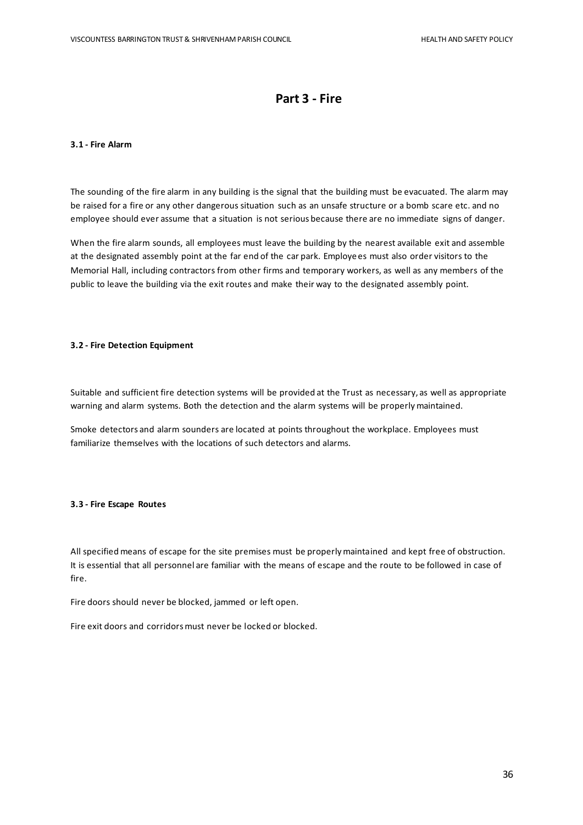## **Part 3 - Fire**

#### **3.1 - Fire Alarm**

The sounding of the fire alarm in any building is the signal that the building must be evacuated. The alarm may be raised for a fire or any other dangerous situation such as an unsafe structure or a bomb scare etc. and no employee should ever assume that a situation is not serious because there are no immediate signs of danger.

When the fire alarm sounds, all employees must leave the building by the nearest available exit and assemble at the designated assembly point at the far end of the car park. Employees must also order visitors to the Memorial Hall, including contractors from other firms and temporary workers, as well as any members of the public to leave the building via the exit routes and make their way to the designated assembly point.

#### **3.2 - Fire Detection Equipment**

Suitable and sufficient fire detection systems will be provided at the Trust as necessary, as well as appropriate warning and alarm systems. Both the detection and the alarm systems will be properly maintained.

Smoke detectors and alarm sounders are located at points throughout the workplace. Employees must familiarize themselves with the locations of such detectors and alarms.

#### **3.3 - Fire Escape Routes**

All specified means of escape for the site premises must be properly maintained and kept free of obstruction. It is essential that all personnel are familiar with the means of escape and the route to be followed in case of fire.

Fire doors should never be blocked, jammed or left open.

Fire exit doors and corridors must never be locked or blocked.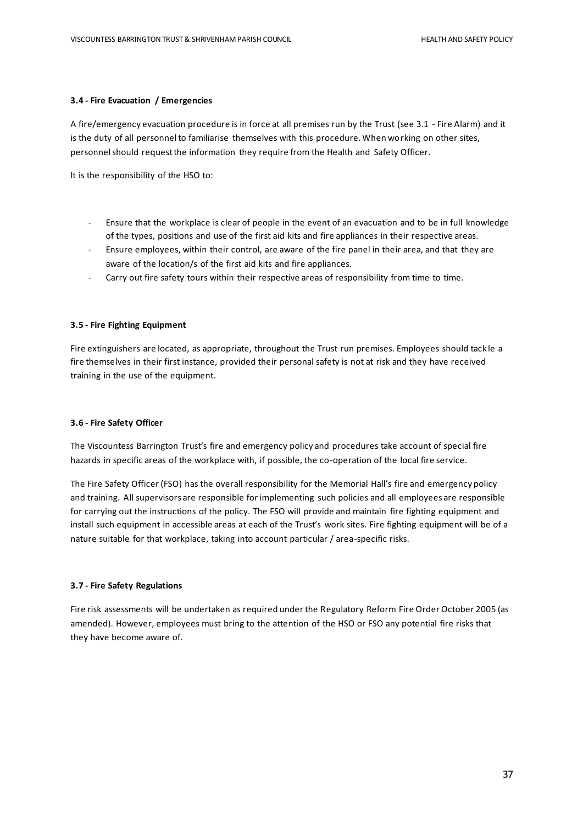#### **3.4 - Fire Evacuation / Emergencies**

A fire/emergency evacuation procedure is in force at all premises run by the Trust (see 3.1 - Fire Alarm) and it is the duty of all personnel to familiarise themselves with this procedure. When working on other sites, personnel should request the information they require from the Health and Safety Officer.

It is the responsibility of the HSO to:

- Ensure that the workplace is clear of people in the event of an evacuation and to be in full knowledge of the types, positions and use of the first aid kits and fire appliances in their respective areas.
- Ensure employees, within their control, are aware of the fire panel in their area, and that they are aware of the location/s of the first aid kits and fire appliances.
- Carry out fire safety tours within their respective areas of responsibility from time to time.

#### **3.5 - Fire Fighting Equipment**

Fire extinguishers are located, as appropriate, throughout the Trust run premises. Employees should tack le a fire themselves in their first instance, provided their personal safety is not at risk and they have received training in the use of the equipment.

#### **3.6 - Fire Safety Officer**

The Viscountess Barrington Trust's fire and emergency policy and procedures take account of special fire hazards in specific areas of the workplace with, if possible, the co-operation of the local fire service.

The Fire Safety Officer (FSO) has the overall responsibility for the Memorial Hall's fire and emergency policy and training. All supervisors are responsible for implementing such policies and all employees are responsible for carrying out the instructions of the policy. The FSO will provide and maintain fire fighting equipment and install such equipment in accessible areas at each of the Trust's work sites. Fire fighting equipment will be of a nature suitable for that workplace, taking into account particular / area-specific risks.

#### **3.7 - Fire Safety Regulations**

Fire risk assessments will be undertaken as required under the Regulatory Reform Fire Order October 2005 (as amended). However, employees must bring to the attention of the HSO or FSO any potential fire risks that they have become aware of.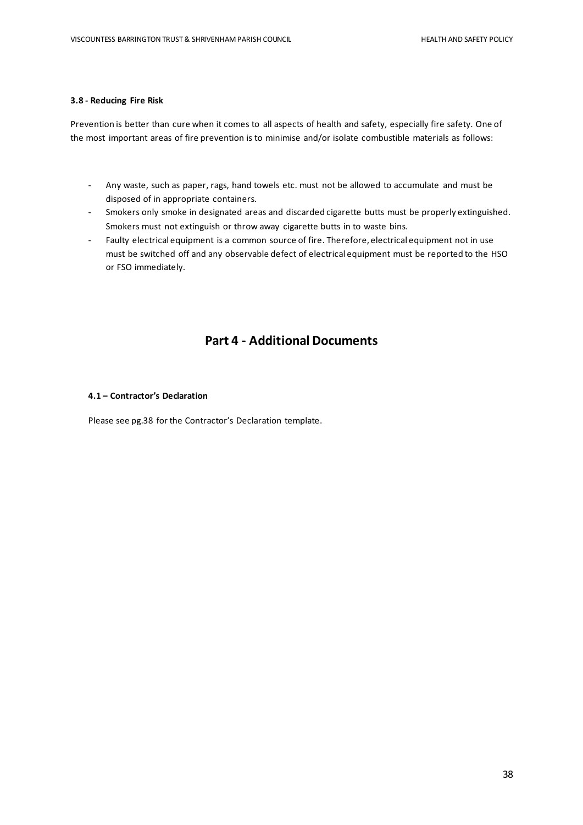#### **3.8 - Reducing Fire Risk**

Prevention is better than cure when it comes to all aspects of health and safety, especially fire safety. One of the most important areas of fire prevention is to minimise and/or isolate combustible materials as follows:

- Any waste, such as paper, rags, hand towels etc. must not be allowed to accumulate and must be disposed of in appropriate containers.
- Smokers only smoke in designated areas and discarded cigarette butts must be properly extinguished. Smokers must not extinguish or throw away cigarette butts in to waste bins.
- Faulty electrical equipment is a common source of fire. Therefore, electrical equipment not in use must be switched off and any observable defect of electrical equipment must be reported to the HSO or FSO immediately.

## **Part 4 - Additional Documents**

#### **4.1 – Contractor's Declaration**

Please see pg.38 for the Contractor's Declaration template.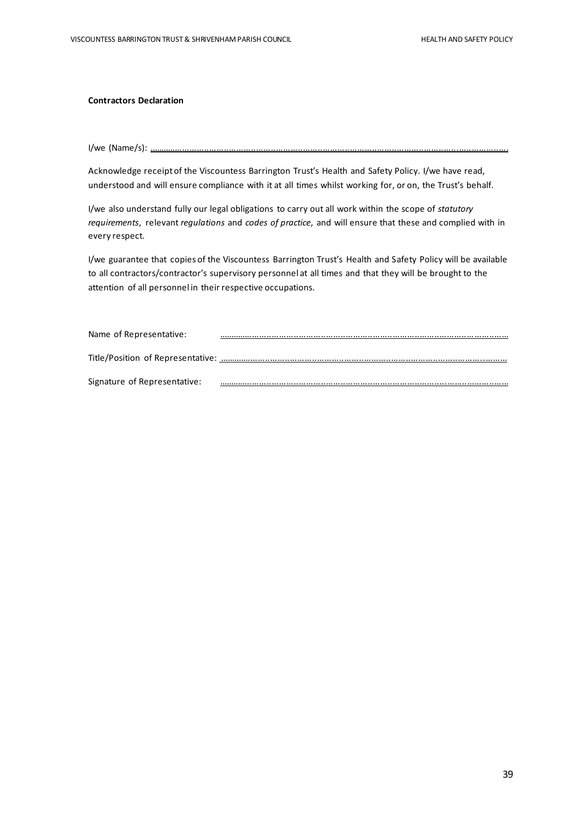#### **Contractors Declaration**

I/we (Name/s): ..................................................................................................................................................

Acknowledge receipt of the Viscountess Barrington Trust's Health and Safety Policy. I/we have read, understood and will ensure compliance with it at all times whilst working for, or on, the Trust's behalf.

I/we also understand fully our legal obligations to carry out all work within the scope of *statutory requirements*, relevant *regulations* and *codes of practice*, and will ensure that these and complied with in every respect.

I/we guarantee that copies of the Viscountess Barrington Trust's Health and Safety Policy will be available to all contractors/contractor's supervisory personnel at all times and that they will be brought to the attention of all personnel in their respective occupations.

| Name of Representative:      |  |
|------------------------------|--|
|                              |  |
| Signature of Representative: |  |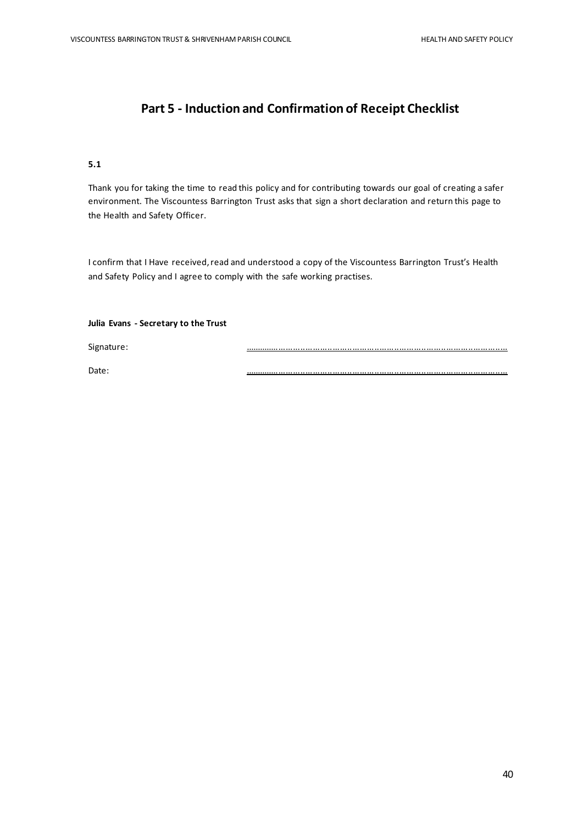# **Part 5 - Induction and Confirmation of Receipt Checklist**

#### **5.1**

Thank you for taking the time to read this policy and for contributing towards our goal of creating a safer environment. The Viscountess Barrington Trust asks that sign a short declaration and return this page to the Health and Safety Officer.

I confirm that I Have received, read and understood a copy of the Viscountess Barrington Trust's Health and Safety Policy and I agree to comply with the safe working practises.

#### **Julia Evans - Secretary to the Trust**

Signature: ...........................................................................................................

Date: ...........................................................................................................